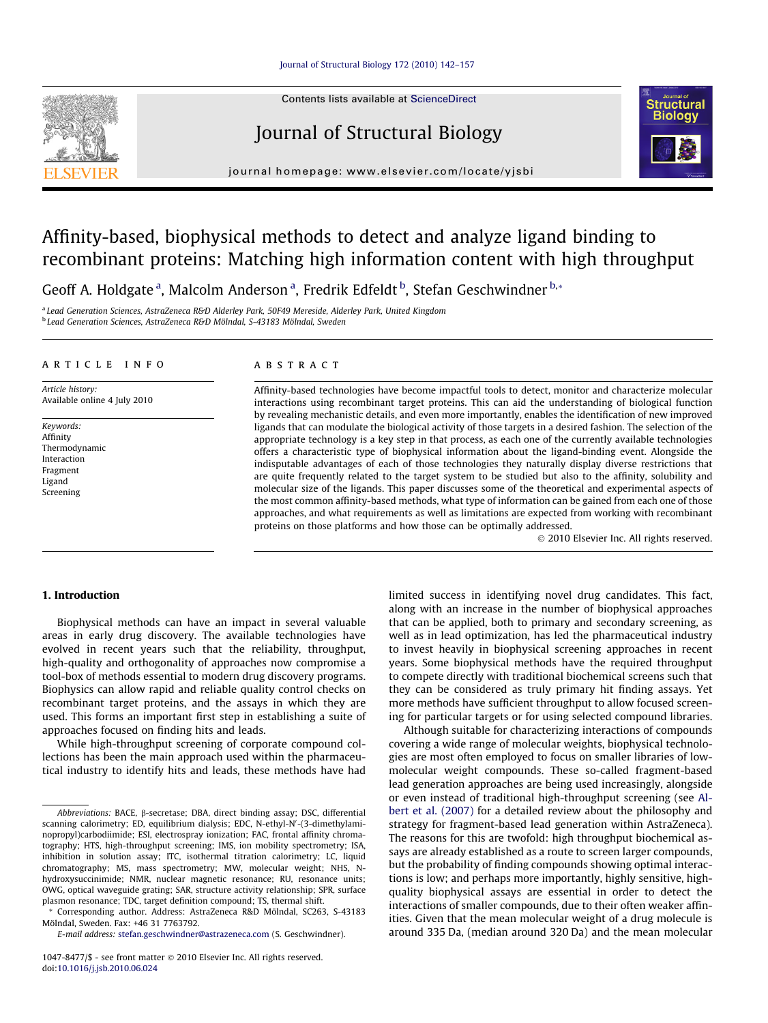Contents lists available at [ScienceDirect](http://www.sciencedirect.com/science/journal/10478477)

## Journal of Structural Biology



# Affinity-based, biophysical methods to detect and analyze ligand binding to recombinant proteins: Matching high information content with high throughput

Geoff A. Holdgate <sup>a</sup>, Malcolm Anderson <sup>a</sup>, Fredrik Edfeldt <sup>b</sup>, Stefan Geschwindner <sup>b,</sup>\*

<sup>a</sup> Lead Generation Sciences, AstraZeneca R&D Alderley Park, 50F49 Mereside, Alderley Park, United Kingdom <sup>b</sup> Lead Generation Sciences, AstraZeneca R&D Mölndal, S-43183 Mölndal, Sweden

#### article info

Article history: Available online 4 July 2010

Keywords: Affinity Thermodynamic Interaction Fragment Ligand Screening

## ABSTRACT

Affinity-based technologies have become impactful tools to detect, monitor and characterize molecular interactions using recombinant target proteins. This can aid the understanding of biological function by revealing mechanistic details, and even more importantly, enables the identification of new improved ligands that can modulate the biological activity of those targets in a desired fashion. The selection of the appropriate technology is a key step in that process, as each one of the currently available technologies offers a characteristic type of biophysical information about the ligand-binding event. Alongside the indisputable advantages of each of those technologies they naturally display diverse restrictions that are quite frequently related to the target system to be studied but also to the affinity, solubility and molecular size of the ligands. This paper discusses some of the theoretical and experimental aspects of the most common affinity-based methods, what type of information can be gained from each one of those approaches, and what requirements as well as limitations are expected from working with recombinant proteins on those platforms and how those can be optimally addressed.

- 2010 Elsevier Inc. All rights reserved.

## 1. Introduction

Biophysical methods can have an impact in several valuable areas in early drug discovery. The available technologies have evolved in recent years such that the reliability, throughput, high-quality and orthogonality of approaches now compromise a tool-box of methods essential to modern drug discovery programs. Biophysics can allow rapid and reliable quality control checks on recombinant target proteins, and the assays in which they are used. This forms an important first step in establishing a suite of approaches focused on finding hits and leads.

While high-throughput screening of corporate compound collections has been the main approach used within the pharmaceutical industry to identify hits and leads, these methods have had

\* Corresponding author. Address: AstraZeneca R&D Mölndal, SC263, S-43183 Mölndal, Sweden. Fax: +46 31 7763792.

E-mail address: [stefan.geschwindner@astrazeneca.com](mailto:stefan.geschwindner@astrazeneca.com) (S. Geschwindner).

limited success in identifying novel drug candidates. This fact, along with an increase in the number of biophysical approaches that can be applied, both to primary and secondary screening, as well as in lead optimization, has led the pharmaceutical industry to invest heavily in biophysical screening approaches in recent years. Some biophysical methods have the required throughput to compete directly with traditional biochemical screens such that they can be considered as truly primary hit finding assays. Yet more methods have sufficient throughput to allow focused screening for particular targets or for using selected compound libraries.

Although suitable for characterizing interactions of compounds covering a wide range of molecular weights, biophysical technologies are most often employed to focus on smaller libraries of lowmolecular weight compounds. These so-called fragment-based lead generation approaches are being used increasingly, alongside or even instead of traditional high-throughput screening (see [Al](#page-13-0)[bert et al. \(2007\)](#page-13-0) for a detailed review about the philosophy and strategy for fragment-based lead generation within AstraZeneca). The reasons for this are twofold: high throughput biochemical assays are already established as a route to screen larger compounds, but the probability of finding compounds showing optimal interactions is low; and perhaps more importantly, highly sensitive, highquality biophysical assays are essential in order to detect the interactions of smaller compounds, due to their often weaker affinities. Given that the mean molecular weight of a drug molecule is around 335 Da, (median around 320 Da) and the mean molecular





Abbreviations: BACE, b-secretase; DBA, direct binding assay; DSC, differential scanning calorimetry; ED, equilibrium dialysis; EDC, N-ethyl-N'-(3-dimethylaminopropyl)carbodiimide; ESI, electrospray ionization; FAC, frontal affinity chromatography; HTS, high-throughput screening; IMS, ion mobility spectrometry; ISA, inhibition in solution assay; ITC, isothermal titration calorimetry; LC, liquid chromatography; MS, mass spectrometry; MW, molecular weight; NHS, Nhydroxysuccinimide; NMR, nuclear magnetic resonance; RU, resonance units; OWG, optical waveguide grating; SAR, structure activity relationship; SPR, surface plasmon resonance; TDC, target definition compound; TS, thermal shift.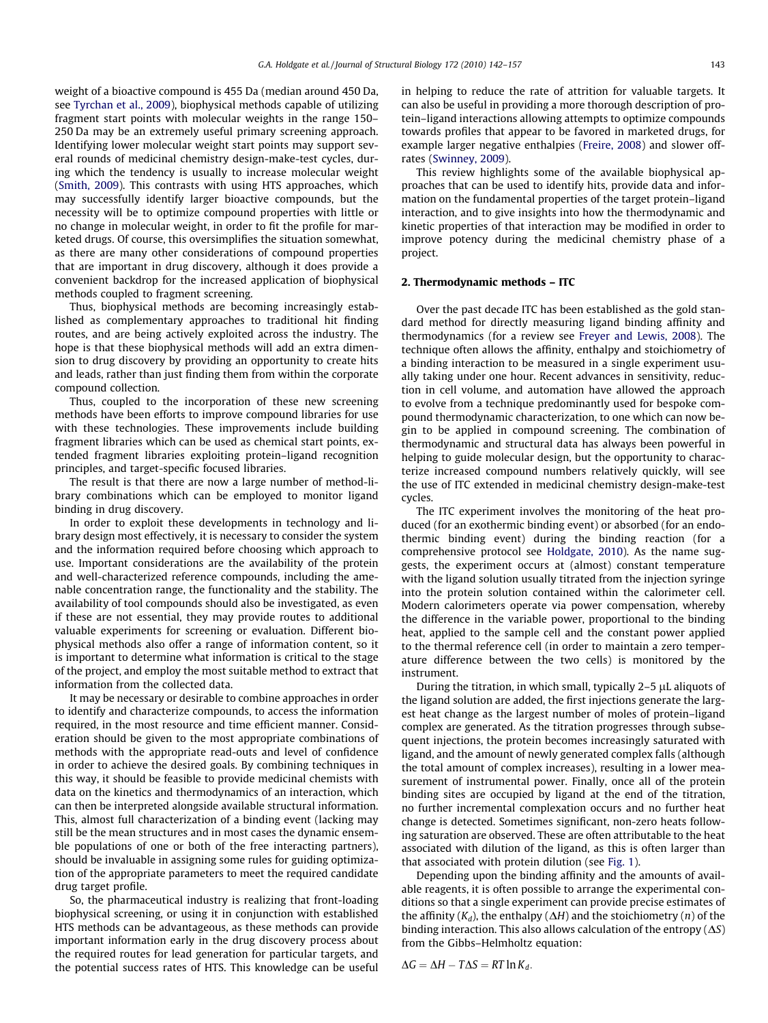weight of a bioactive compound is 455 Da (median around 450 Da, see [Tyrchan et al., 2009](#page-15-0)), biophysical methods capable of utilizing fragment start points with molecular weights in the range 150– 250 Da may be an extremely useful primary screening approach. Identifying lower molecular weight start points may support several rounds of medicinal chemistry design-make-test cycles, during which the tendency is usually to increase molecular weight ([Smith, 2009](#page-15-0)). This contrasts with using HTS approaches, which may successfully identify larger bioactive compounds, but the necessity will be to optimize compound properties with little or no change in molecular weight, in order to fit the profile for marketed drugs. Of course, this oversimplifies the situation somewhat, as there are many other considerations of compound properties that are important in drug discovery, although it does provide a convenient backdrop for the increased application of biophysical methods coupled to fragment screening.

Thus, biophysical methods are becoming increasingly established as complementary approaches to traditional hit finding routes, and are being actively exploited across the industry. The hope is that these biophysical methods will add an extra dimension to drug discovery by providing an opportunity to create hits and leads, rather than just finding them from within the corporate compound collection.

Thus, coupled to the incorporation of these new screening methods have been efforts to improve compound libraries for use with these technologies. These improvements include building fragment libraries which can be used as chemical start points, extended fragment libraries exploiting protein–ligand recognition principles, and target-specific focused libraries.

The result is that there are now a large number of method-library combinations which can be employed to monitor ligand binding in drug discovery.

In order to exploit these developments in technology and library design most effectively, it is necessary to consider the system and the information required before choosing which approach to use. Important considerations are the availability of the protein and well-characterized reference compounds, including the amenable concentration range, the functionality and the stability. The availability of tool compounds should also be investigated, as even if these are not essential, they may provide routes to additional valuable experiments for screening or evaluation. Different biophysical methods also offer a range of information content, so it is important to determine what information is critical to the stage of the project, and employ the most suitable method to extract that information from the collected data.

It may be necessary or desirable to combine approaches in order to identify and characterize compounds, to access the information required, in the most resource and time efficient manner. Consideration should be given to the most appropriate combinations of methods with the appropriate read-outs and level of confidence in order to achieve the desired goals. By combining techniques in this way, it should be feasible to provide medicinal chemists with data on the kinetics and thermodynamics of an interaction, which can then be interpreted alongside available structural information. This, almost full characterization of a binding event (lacking may still be the mean structures and in most cases the dynamic ensemble populations of one or both of the free interacting partners), should be invaluable in assigning some rules for guiding optimization of the appropriate parameters to meet the required candidate drug target profile.

So, the pharmaceutical industry is realizing that front-loading biophysical screening, or using it in conjunction with established HTS methods can be advantageous, as these methods can provide important information early in the drug discovery process about the required routes for lead generation for particular targets, and the potential success rates of HTS. This knowledge can be useful in helping to reduce the rate of attrition for valuable targets. It can also be useful in providing a more thorough description of protein–ligand interactions allowing attempts to optimize compounds towards profiles that appear to be favored in marketed drugs, for example larger negative enthalpies [\(Freire, 2008\)](#page-14-0) and slower offrates ([Swinney, 2009\)](#page-15-0).

This review highlights some of the available biophysical approaches that can be used to identify hits, provide data and information on the fundamental properties of the target protein–ligand interaction, and to give insights into how the thermodynamic and kinetic properties of that interaction may be modified in order to improve potency during the medicinal chemistry phase of a project.

## 2. Thermodynamic methods – ITC

Over the past decade ITC has been established as the gold standard method for directly measuring ligand binding affinity and thermodynamics (for a review see [Freyer and Lewis, 2008](#page-14-0)). The technique often allows the affinity, enthalpy and stoichiometry of a binding interaction to be measured in a single experiment usually taking under one hour. Recent advances in sensitivity, reduction in cell volume, and automation have allowed the approach to evolve from a technique predominantly used for bespoke compound thermodynamic characterization, to one which can now begin to be applied in compound screening. The combination of thermodynamic and structural data has always been powerful in helping to guide molecular design, but the opportunity to characterize increased compound numbers relatively quickly, will see the use of ITC extended in medicinal chemistry design-make-test cycles.

The ITC experiment involves the monitoring of the heat produced (for an exothermic binding event) or absorbed (for an endothermic binding event) during the binding reaction (for a comprehensive protocol see [Holdgate, 2010](#page-14-0)). As the name suggests, the experiment occurs at (almost) constant temperature with the ligand solution usually titrated from the injection syringe into the protein solution contained within the calorimeter cell. Modern calorimeters operate via power compensation, whereby the difference in the variable power, proportional to the binding heat, applied to the sample cell and the constant power applied to the thermal reference cell (in order to maintain a zero temperature difference between the two cells) is monitored by the instrument.

During the titration, in which small, typically  $2-5$   $\mu$ L aliquots of the ligand solution are added, the first injections generate the largest heat change as the largest number of moles of protein–ligand complex are generated. As the titration progresses through subsequent injections, the protein becomes increasingly saturated with ligand, and the amount of newly generated complex falls (although the total amount of complex increases), resulting in a lower measurement of instrumental power. Finally, once all of the protein binding sites are occupied by ligand at the end of the titration, no further incremental complexation occurs and no further heat change is detected. Sometimes significant, non-zero heats following saturation are observed. These are often attributable to the heat associated with dilution of the ligand, as this is often larger than that associated with protein dilution (see [Fig. 1](#page-2-0)).

Depending upon the binding affinity and the amounts of available reagents, it is often possible to arrange the experimental conditions so that a single experiment can provide precise estimates of the affinity  $(K_d)$ , the enthalpy  $(\Delta H)$  and the stoichiometry  $(n)$  of the binding interaction. This also allows calculation of the entropy  $(\Delta S)$ from the Gibbs–Helmholtz equation:

 $\Delta G = \Delta H - T \Delta S = RT \ln K_d$ .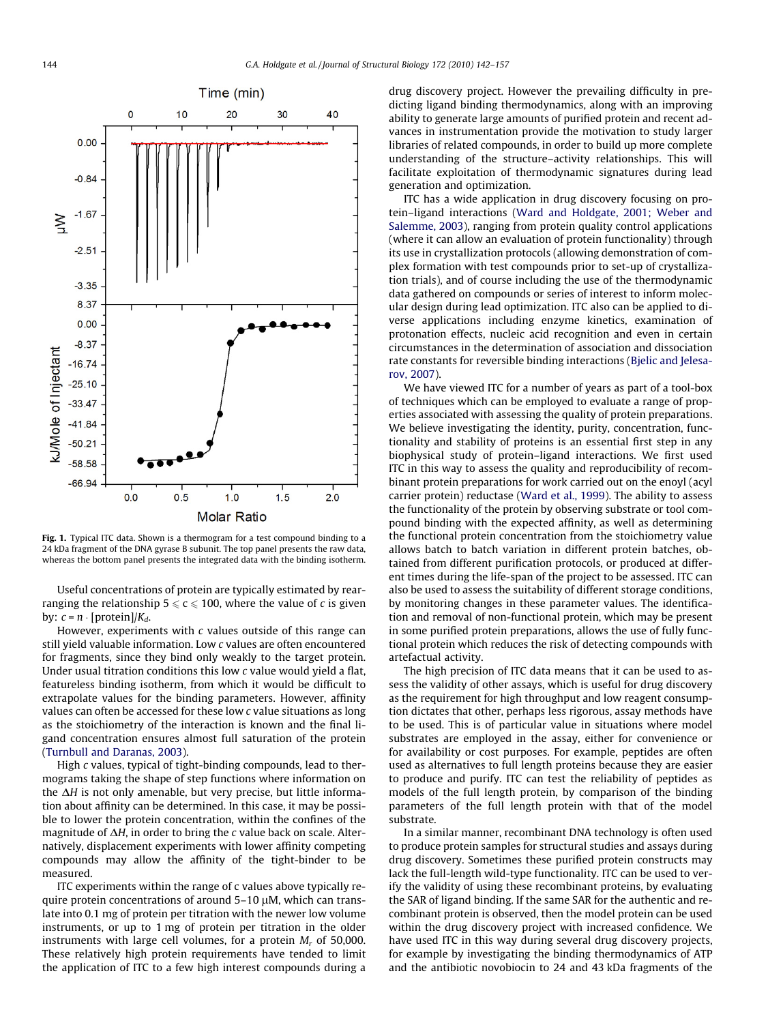<span id="page-2-0"></span>

Fig. 1. Typical ITC data. Shown is a thermogram for a test compound binding to a 24 kDa fragment of the DNA gyrase B subunit. The top panel presents the raw data, whereas the bottom panel presents the integrated data with the binding isotherm.

Useful concentrations of protein are typically estimated by rearranging the relationship  $5 \le c \le 100$ , where the value of c is given by:  $c = n \cdot [protein]/K_d$ .

However, experiments with c values outside of this range can still yield valuable information. Low c values are often encountered for fragments, since they bind only weakly to the target protein. Under usual titration conditions this low c value would yield a flat, featureless binding isotherm, from which it would be difficult to extrapolate values for the binding parameters. However, affinity values can often be accessed for these low c value situations as long as the stoichiometry of the interaction is known and the final ligand concentration ensures almost full saturation of the protein ([Turnbull and Daranas, 2003\)](#page-15-0).

High c values, typical of tight-binding compounds, lead to thermograms taking the shape of step functions where information on the  $\Delta H$  is not only amenable, but very precise, but little information about affinity can be determined. In this case, it may be possible to lower the protein concentration, within the confines of the magnitude of  $\Delta H$ , in order to bring the c value back on scale. Alternatively, displacement experiments with lower affinity competing compounds may allow the affinity of the tight-binder to be measured.

ITC experiments within the range of c values above typically require protein concentrations of around  $5-10 \mu$ M, which can translate into 0.1 mg of protein per titration with the newer low volume instruments, or up to 1 mg of protein per titration in the older instruments with large cell volumes, for a protein  $M_r$  of 50,000. These relatively high protein requirements have tended to limit the application of ITC to a few high interest compounds during a drug discovery project. However the prevailing difficulty in predicting ligand binding thermodynamics, along with an improving ability to generate large amounts of purified protein and recent advances in instrumentation provide the motivation to study larger libraries of related compounds, in order to build up more complete understanding of the structure–activity relationships. This will facilitate exploitation of thermodynamic signatures during lead generation and optimization.

ITC has a wide application in drug discovery focusing on protein–ligand interactions ([Ward and Holdgate, 2001; Weber and](#page-15-0) [Salemme, 2003\)](#page-15-0), ranging from protein quality control applications (where it can allow an evaluation of protein functionality) through its use in crystallization protocols (allowing demonstration of complex formation with test compounds prior to set-up of crystallization trials), and of course including the use of the thermodynamic data gathered on compounds or series of interest to inform molecular design during lead optimization. ITC also can be applied to diverse applications including enzyme kinetics, examination of protonation effects, nucleic acid recognition and even in certain circumstances in the determination of association and dissociation rate constants for reversible binding interactions [\(Bjelic and Jelesa](#page-13-0)[rov, 2007](#page-13-0)).

We have viewed ITC for a number of years as part of a tool-box of techniques which can be employed to evaluate a range of properties associated with assessing the quality of protein preparations. We believe investigating the identity, purity, concentration, functionality and stability of proteins is an essential first step in any biophysical study of protein–ligand interactions. We first used ITC in this way to assess the quality and reproducibility of recombinant protein preparations for work carried out on the enoyl (acyl carrier protein) reductase ([Ward et al., 1999](#page-15-0)). The ability to assess the functionality of the protein by observing substrate or tool compound binding with the expected affinity, as well as determining the functional protein concentration from the stoichiometry value allows batch to batch variation in different protein batches, obtained from different purification protocols, or produced at different times during the life-span of the project to be assessed. ITC can also be used to assess the suitability of different storage conditions, by monitoring changes in these parameter values. The identification and removal of non-functional protein, which may be present in some purified protein preparations, allows the use of fully functional protein which reduces the risk of detecting compounds with artefactual activity.

The high precision of ITC data means that it can be used to assess the validity of other assays, which is useful for drug discovery as the requirement for high throughput and low reagent consumption dictates that other, perhaps less rigorous, assay methods have to be used. This is of particular value in situations where model substrates are employed in the assay, either for convenience or for availability or cost purposes. For example, peptides are often used as alternatives to full length proteins because they are easier to produce and purify. ITC can test the reliability of peptides as models of the full length protein, by comparison of the binding parameters of the full length protein with that of the model substrate.

In a similar manner, recombinant DNA technology is often used to produce protein samples for structural studies and assays during drug discovery. Sometimes these purified protein constructs may lack the full-length wild-type functionality. ITC can be used to verify the validity of using these recombinant proteins, by evaluating the SAR of ligand binding. If the same SAR for the authentic and recombinant protein is observed, then the model protein can be used within the drug discovery project with increased confidence. We have used ITC in this way during several drug discovery projects, for example by investigating the binding thermodynamics of ATP and the antibiotic novobiocin to 24 and 43 kDa fragments of the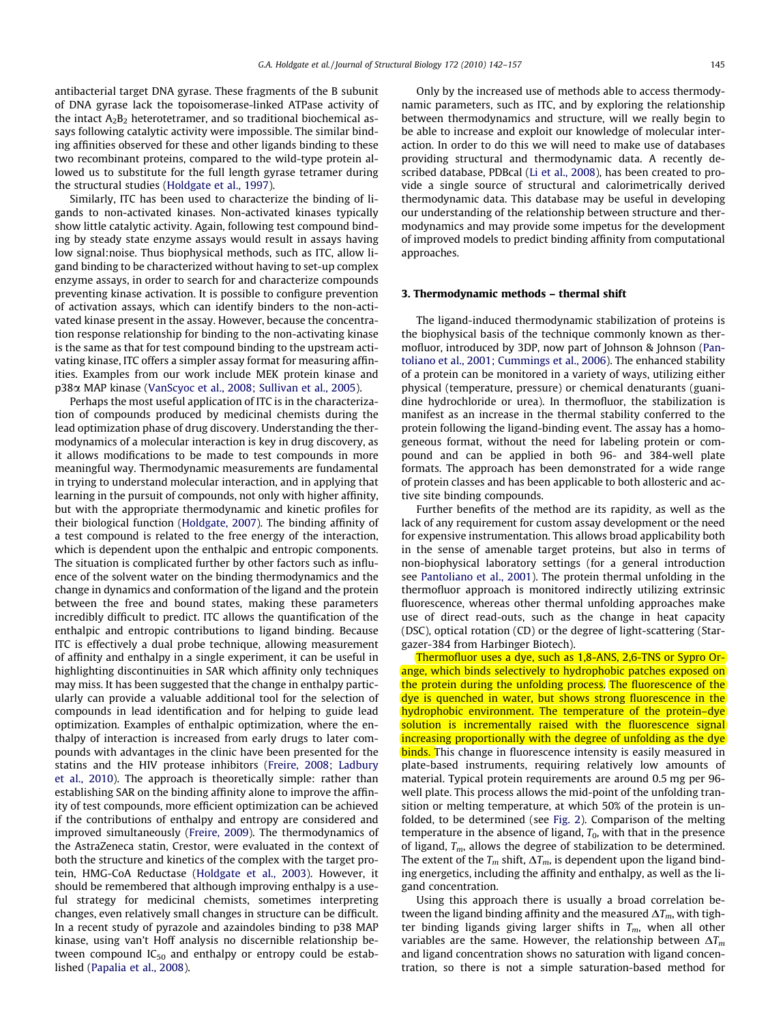antibacterial target DNA gyrase. These fragments of the B subunit of DNA gyrase lack the topoisomerase-linked ATPase activity of the intact  $A_2B_2$  heterotetramer, and so traditional biochemical assays following catalytic activity were impossible. The similar binding affinities observed for these and other ligands binding to these two recombinant proteins, compared to the wild-type protein allowed us to substitute for the full length gyrase tetramer during the structural studies ([Holdgate et al., 1997\)](#page-14-0).

Similarly, ITC has been used to characterize the binding of ligands to non-activated kinases. Non-activated kinases typically show little catalytic activity. Again, following test compound binding by steady state enzyme assays would result in assays having low signal:noise. Thus biophysical methods, such as ITC, allow ligand binding to be characterized without having to set-up complex enzyme assays, in order to search for and characterize compounds preventing kinase activation. It is possible to configure prevention of activation assays, which can identify binders to the non-activated kinase present in the assay. However, because the concentration response relationship for binding to the non-activating kinase is the same as that for test compound binding to the upstream activating kinase, ITC offers a simpler assay format for measuring affinities. Examples from our work include MEK protein kinase and p38a MAP kinase [\(VanScyoc et al., 2008; Sullivan et al., 2005](#page-15-0)).

Perhaps the most useful application of ITC is in the characterization of compounds produced by medicinal chemists during the lead optimization phase of drug discovery. Understanding the thermodynamics of a molecular interaction is key in drug discovery, as it allows modifications to be made to test compounds in more meaningful way. Thermodynamic measurements are fundamental in trying to understand molecular interaction, and in applying that learning in the pursuit of compounds, not only with higher affinity, but with the appropriate thermodynamic and kinetic profiles for their biological function [\(Holdgate, 2007\)](#page-14-0). The binding affinity of a test compound is related to the free energy of the interaction, which is dependent upon the enthalpic and entropic components. The situation is complicated further by other factors such as influence of the solvent water on the binding thermodynamics and the change in dynamics and conformation of the ligand and the protein between the free and bound states, making these parameters incredibly difficult to predict. ITC allows the quantification of the enthalpic and entropic contributions to ligand binding. Because ITC is effectively a dual probe technique, allowing measurement of affinity and enthalpy in a single experiment, it can be useful in highlighting discontinuities in SAR which affinity only techniques may miss. It has been suggested that the change in enthalpy particularly can provide a valuable additional tool for the selection of compounds in lead identification and for helping to guide lead optimization. Examples of enthalpic optimization, where the enthalpy of interaction is increased from early drugs to later compounds with advantages in the clinic have been presented for the statins and the HIV protease inhibitors [\(Freire, 2008; Ladbury](#page-14-0) [et al., 2010\)](#page-14-0). The approach is theoretically simple: rather than establishing SAR on the binding affinity alone to improve the affinity of test compounds, more efficient optimization can be achieved if the contributions of enthalpy and entropy are considered and improved simultaneously ([Freire, 2009\)](#page-14-0). The thermodynamics of the AstraZeneca statin, Crestor, were evaluated in the context of both the structure and kinetics of the complex with the target protein, HMG-CoA Reductase ([Holdgate et al., 2003\)](#page-14-0). However, it should be remembered that although improving enthalpy is a useful strategy for medicinal chemists, sometimes interpreting changes, even relatively small changes in structure can be difficult. In a recent study of pyrazole and azaindoles binding to p38 MAP kinase, using van't Hoff analysis no discernible relationship between compound  $IC_{50}$  and enthalpy or entropy could be established ([Papalia et al., 2008\)](#page-15-0).

Only by the increased use of methods able to access thermodynamic parameters, such as ITC, and by exploring the relationship between thermodynamics and structure, will we really begin to be able to increase and exploit our knowledge of molecular interaction. In order to do this we will need to make use of databases providing structural and thermodynamic data. A recently described database, PDBcal ([Li et al., 2008\)](#page-14-0), has been created to provide a single source of structural and calorimetrically derived thermodynamic data. This database may be useful in developing our understanding of the relationship between structure and thermodynamics and may provide some impetus for the development of improved models to predict binding affinity from computational approaches.

#### 3. Thermodynamic methods – thermal shift

The ligand-induced thermodynamic stabilization of proteins is the biophysical basis of the technique commonly known as thermofluor, introduced by 3DP, now part of Johnson & Johnson [\(Pan](#page-15-0)[toliano et al., 2001; Cummings et al., 2006](#page-15-0)). The enhanced stability of a protein can be monitored in a variety of ways, utilizing either physical (temperature, pressure) or chemical denaturants (guanidine hydrochloride or urea). In thermofluor, the stabilization is manifest as an increase in the thermal stability conferred to the protein following the ligand-binding event. The assay has a homogeneous format, without the need for labeling protein or compound and can be applied in both 96- and 384-well plate formats. The approach has been demonstrated for a wide range of protein classes and has been applicable to both allosteric and active site binding compounds.

Further benefits of the method are its rapidity, as well as the lack of any requirement for custom assay development or the need for expensive instrumentation. This allows broad applicability both in the sense of amenable target proteins, but also in terms of non-biophysical laboratory settings (for a general introduction see [Pantoliano et al., 2001\)](#page-15-0). The protein thermal unfolding in the thermofluor approach is monitored indirectly utilizing extrinsic fluorescence, whereas other thermal unfolding approaches make use of direct read-outs, such as the change in heat capacity (DSC), optical rotation (CD) or the degree of light-scattering (Stargazer-384 from Harbinger Biotech).

Thermofluor uses a dye, such as 1,8-ANS, 2,6-TNS or Sypro Orange, which binds selectively to hydrophobic patches exposed on the protein during the unfolding process. The fluorescence of the dye is quenched in water, but shows strong fluorescence in the hydrophobic environment. The temperature of the protein–dye solution is incrementally raised with the fluorescence signal increasing proportionally with the degree of unfolding as the dye **binds.** This change in fluorescence intensity is easily measured in plate-based instruments, requiring relatively low amounts of material. Typical protein requirements are around 0.5 mg per 96 well plate. This process allows the mid-point of the unfolding transition or melting temperature, at which 50% of the protein is unfolded, to be determined (see [Fig. 2](#page-4-0)). Comparison of the melting temperature in the absence of ligand,  $T_0$ , with that in the presence of ligand,  $T_m$ , allows the degree of stabilization to be determined. The extent of the  $T_m$  shift,  $\Delta T_m$ , is dependent upon the ligand binding energetics, including the affinity and enthalpy, as well as the ligand concentration.

Using this approach there is usually a broad correlation between the ligand binding affinity and the measured  $\Delta T_m$ , with tighter binding ligands giving larger shifts in  $T_m$ , when all other variables are the same. However, the relationship between  $\Delta T_m$ and ligand concentration shows no saturation with ligand concentration, so there is not a simple saturation-based method for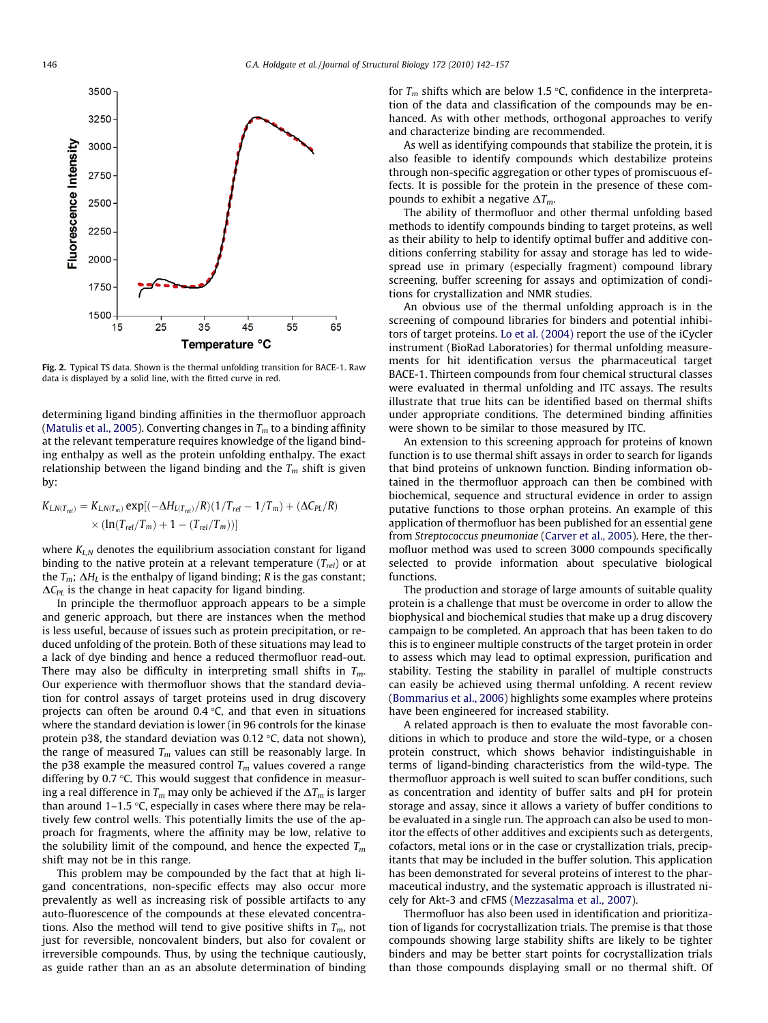<span id="page-4-0"></span>

Fig. 2. Typical TS data. Shown is the thermal unfolding transition for BACE-1. Raw data is displayed by a solid line, with the fitted curve in red.

determining ligand binding affinities in the thermofluor approach ([Matulis et al., 2005\)](#page-14-0). Converting changes in  $T_m$  to a binding affinity at the relevant temperature requires knowledge of the ligand binding enthalpy as well as the protein unfolding enthalpy. The exact relationship between the ligand binding and the  $T_m$  shift is given by:

$$
K_{L,N(T_{rel})} = K_{L,N(T_m)} \exp[(-\Delta H_{L(T_{rel})}/R)(1/T_{rel} - 1/T_m) + (\Delta C_{PL}/R) \times (\ln(T_{rel}/T_m) + 1 - (T_{rel}/T_m))]
$$

where  $K_{L,N}$  denotes the equilibrium association constant for ligand binding to the native protein at a relevant temperature  $(T_{rel})$  or at the  $T_m$ ;  $\Delta H_L$  is the enthalpy of ligand binding; R is the gas constant;  $\Delta C_{PL}$  is the change in heat capacity for ligand binding.

In principle the thermofluor approach appears to be a simple and generic approach, but there are instances when the method is less useful, because of issues such as protein precipitation, or reduced unfolding of the protein. Both of these situations may lead to a lack of dye binding and hence a reduced thermofluor read-out. There may also be difficulty in interpreting small shifts in  $T_m$ . Our experience with thermofluor shows that the standard deviation for control assays of target proteins used in drug discovery projects can often be around  $0.4 \degree C$ , and that even in situations where the standard deviation is lower (in 96 controls for the kinase protein p38, the standard deviation was  $0.12 \degree C$ , data not shown), the range of measured  $T_m$  values can still be reasonably large. In the p38 example the measured control  $T_m$  values covered a range differing by 0.7  $\degree$ C. This would suggest that confidence in measuring a real difference in  $T_m$  may only be achieved if the  $\Delta T_m$  is larger than around 1-1.5  $\degree$ C, especially in cases where there may be relatively few control wells. This potentially limits the use of the approach for fragments, where the affinity may be low, relative to the solubility limit of the compound, and hence the expected  $T_m$ shift may not be in this range.

This problem may be compounded by the fact that at high ligand concentrations, non-specific effects may also occur more prevalently as well as increasing risk of possible artifacts to any auto-fluorescence of the compounds at these elevated concentrations. Also the method will tend to give positive shifts in  $T_m$ , not just for reversible, noncovalent binders, but also for covalent or irreversible compounds. Thus, by using the technique cautiously, as guide rather than an as an absolute determination of binding for  $T_m$  shifts which are below 1.5 °C, confidence in the interpretation of the data and classification of the compounds may be enhanced. As with other methods, orthogonal approaches to verify and characterize binding are recommended.

As well as identifying compounds that stabilize the protein, it is also feasible to identify compounds which destabilize proteins through non-specific aggregation or other types of promiscuous effects. It is possible for the protein in the presence of these compounds to exhibit a negative  $\Delta T_m$ .

The ability of thermofluor and other thermal unfolding based methods to identify compounds binding to target proteins, as well as their ability to help to identify optimal buffer and additive conditions conferring stability for assay and storage has led to widespread use in primary (especially fragment) compound library screening, buffer screening for assays and optimization of conditions for crystallization and NMR studies.

An obvious use of the thermal unfolding approach is in the screening of compound libraries for binders and potential inhibitors of target proteins. [Lo et al. \(2004\)](#page-14-0) report the use of the iCycler instrument (BioRad Laboratories) for thermal unfolding measurements for hit identification versus the pharmaceutical target BACE-1. Thirteen compounds from four chemical structural classes were evaluated in thermal unfolding and ITC assays. The results illustrate that true hits can be identified based on thermal shifts under appropriate conditions. The determined binding affinities were shown to be similar to those measured by ITC.

An extension to this screening approach for proteins of known function is to use thermal shift assays in order to search for ligands that bind proteins of unknown function. Binding information obtained in the thermofluor approach can then be combined with biochemical, sequence and structural evidence in order to assign putative functions to those orphan proteins. An example of this application of thermofluor has been published for an essential gene from Streptococcus pneumoniae ([Carver et al., 2005\)](#page-13-0). Here, the thermofluor method was used to screen 3000 compounds specifically selected to provide information about speculative biological functions.

The production and storage of large amounts of suitable quality protein is a challenge that must be overcome in order to allow the biophysical and biochemical studies that make up a drug discovery campaign to be completed. An approach that has been taken to do this is to engineer multiple constructs of the target protein in order to assess which may lead to optimal expression, purification and stability. Testing the stability in parallel of multiple constructs can easily be achieved using thermal unfolding. A recent review ([Bommarius et al., 2006\)](#page-13-0) highlights some examples where proteins have been engineered for increased stability.

A related approach is then to evaluate the most favorable conditions in which to produce and store the wild-type, or a chosen protein construct, which shows behavior indistinguishable in terms of ligand-binding characteristics from the wild-type. The thermofluor approach is well suited to scan buffer conditions, such as concentration and identity of buffer salts and pH for protein storage and assay, since it allows a variety of buffer conditions to be evaluated in a single run. The approach can also be used to monitor the effects of other additives and excipients such as detergents, cofactors, metal ions or in the case or crystallization trials, precipitants that may be included in the buffer solution. This application has been demonstrated for several proteins of interest to the pharmaceutical industry, and the systematic approach is illustrated nicely for Akt-3 and cFMS ([Mezzasalma et al., 2007](#page-14-0)).

Thermofluor has also been used in identification and prioritization of ligands for cocrystallization trials. The premise is that those compounds showing large stability shifts are likely to be tighter binders and may be better start points for cocrystallization trials than those compounds displaying small or no thermal shift. Of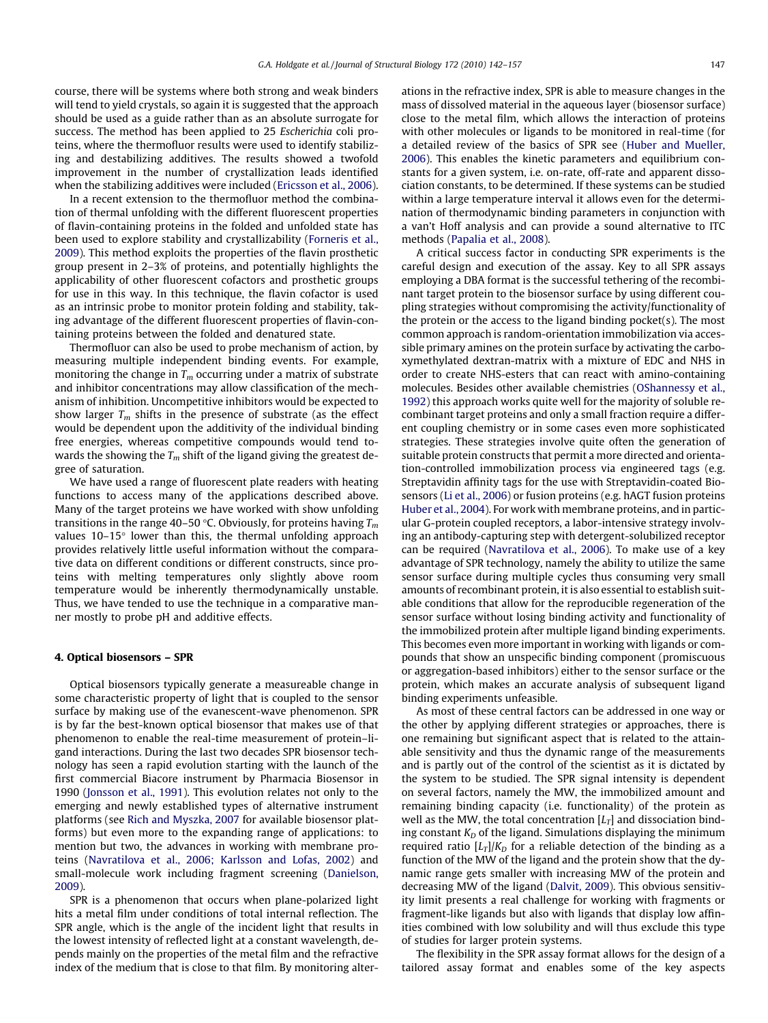course, there will be systems where both strong and weak binders will tend to yield crystals, so again it is suggested that the approach should be used as a guide rather than as an absolute surrogate for success. The method has been applied to 25 Escherichia coli proteins, where the thermofluor results were used to identify stabilizing and destabilizing additives. The results showed a twofold improvement in the number of crystallization leads identified when the stabilizing additives were included [\(Ericsson et al., 2006\)](#page-14-0).

In a recent extension to the thermofluor method the combination of thermal unfolding with the different fluorescent properties of flavin-containing proteins in the folded and unfolded state has been used to explore stability and crystallizability ([Forneris et al.,](#page-14-0) [2009](#page-14-0)). This method exploits the properties of the flavin prosthetic group present in 2–3% of proteins, and potentially highlights the applicability of other fluorescent cofactors and prosthetic groups for use in this way. In this technique, the flavin cofactor is used as an intrinsic probe to monitor protein folding and stability, taking advantage of the different fluorescent properties of flavin-containing proteins between the folded and denatured state.

Thermofluor can also be used to probe mechanism of action, by measuring multiple independent binding events. For example, monitoring the change in  $T_m$  occurring under a matrix of substrate and inhibitor concentrations may allow classification of the mechanism of inhibition. Uncompetitive inhibitors would be expected to show larger  $T_m$  shifts in the presence of substrate (as the effect would be dependent upon the additivity of the individual binding free energies, whereas competitive compounds would tend towards the showing the  $T_m$  shift of the ligand giving the greatest degree of saturation.

We have used a range of fluorescent plate readers with heating functions to access many of the applications described above. Many of the target proteins we have worked with show unfolding transitions in the range 40–50 °C. Obviously, for proteins having  $T_m$ values  $10-15^\circ$  lower than this, the thermal unfolding approach provides relatively little useful information without the comparative data on different conditions or different constructs, since proteins with melting temperatures only slightly above room temperature would be inherently thermodynamically unstable. Thus, we have tended to use the technique in a comparative manner mostly to probe pH and additive effects.

## 4. Optical biosensors – SPR

Optical biosensors typically generate a measureable change in some characteristic property of light that is coupled to the sensor surface by making use of the evanescent-wave phenomenon. SPR is by far the best-known optical biosensor that makes use of that phenomenon to enable the real-time measurement of protein–ligand interactions. During the last two decades SPR biosensor technology has seen a rapid evolution starting with the launch of the first commercial Biacore instrument by Pharmacia Biosensor in 1990 ([Jonsson et al., 1991](#page-14-0)). This evolution relates not only to the emerging and newly established types of alternative instrument platforms (see [Rich and Myszka, 2007](#page-15-0) for available biosensor platforms) but even more to the expanding range of applications: to mention but two, the advances in working with membrane proteins ([Navratilova et al., 2006; Karlsson and Lofas, 2002\)](#page-14-0) and small-molecule work including fragment screening [\(Danielson,](#page-14-0) [2009](#page-14-0)).

SPR is a phenomenon that occurs when plane-polarized light hits a metal film under conditions of total internal reflection. The SPR angle, which is the angle of the incident light that results in the lowest intensity of reflected light at a constant wavelength, depends mainly on the properties of the metal film and the refractive index of the medium that is close to that film. By monitoring alterations in the refractive index, SPR is able to measure changes in the mass of dissolved material in the aqueous layer (biosensor surface) close to the metal film, which allows the interaction of proteins with other molecules or ligands to be monitored in real-time (for a detailed review of the basics of SPR see [\(Huber and Mueller,](#page-14-0) [2006](#page-14-0)). This enables the kinetic parameters and equilibrium constants for a given system, i.e. on-rate, off-rate and apparent dissociation constants, to be determined. If these systems can be studied within a large temperature interval it allows even for the determination of thermodynamic binding parameters in conjunction with a van't Hoff analysis and can provide a sound alternative to ITC methods [\(Papalia et al., 2008](#page-15-0)).

A critical success factor in conducting SPR experiments is the careful design and execution of the assay. Key to all SPR assays employing a DBA format is the successful tethering of the recombinant target protein to the biosensor surface by using different coupling strategies without compromising the activity/functionality of the protein or the access to the ligand binding pocket(s). The most common approach is random-orientation immobilization via accessible primary amines on the protein surface by activating the carboxymethylated dextran-matrix with a mixture of EDC and NHS in order to create NHS-esters that can react with amino-containing molecules. Besides other available chemistries ([OShannessy et al.,](#page-14-0) [1992\)](#page-14-0) this approach works quite well for the majority of soluble recombinant target proteins and only a small fraction require a different coupling chemistry or in some cases even more sophisticated strategies. These strategies involve quite often the generation of suitable protein constructs that permit a more directed and orientation-controlled immobilization process via engineered tags (e.g. Streptavidin affinity tags for the use with Streptavidin-coated Biosensors ([Li et al., 2006](#page-14-0)) or fusion proteins (e.g. hAGT fusion proteins [Huber et al., 2004](#page-14-0)). For work with membrane proteins, and in particular G-protein coupled receptors, a labor-intensive strategy involving an antibody-capturing step with detergent-solubilized receptor can be required [\(Navratilova et al., 2006\)](#page-14-0). To make use of a key advantage of SPR technology, namely the ability to utilize the same sensor surface during multiple cycles thus consuming very small amounts of recombinant protein, it is also essential to establish suitable conditions that allow for the reproducible regeneration of the sensor surface without losing binding activity and functionality of the immobilized protein after multiple ligand binding experiments. This becomes even more important in working with ligands or compounds that show an unspecific binding component (promiscuous or aggregation-based inhibitors) either to the sensor surface or the protein, which makes an accurate analysis of subsequent ligand binding experiments unfeasible.

As most of these central factors can be addressed in one way or the other by applying different strategies or approaches, there is one remaining but significant aspect that is related to the attainable sensitivity and thus the dynamic range of the measurements and is partly out of the control of the scientist as it is dictated by the system to be studied. The SPR signal intensity is dependent on several factors, namely the MW, the immobilized amount and remaining binding capacity (i.e. functionality) of the protein as well as the MW, the total concentration  $[L_T]$  and dissociation binding constant  $K_D$  of the ligand. Simulations displaying the minimum required ratio  $[L_T]/K_D$  for a reliable detection of the binding as a function of the MW of the ligand and the protein show that the dynamic range gets smaller with increasing MW of the protein and decreasing MW of the ligand ([Dalvit, 2009\)](#page-14-0). This obvious sensitivity limit presents a real challenge for working with fragments or fragment-like ligands but also with ligands that display low affinities combined with low solubility and will thus exclude this type of studies for larger protein systems.

The flexibility in the SPR assay format allows for the design of a tailored assay format and enables some of the key aspects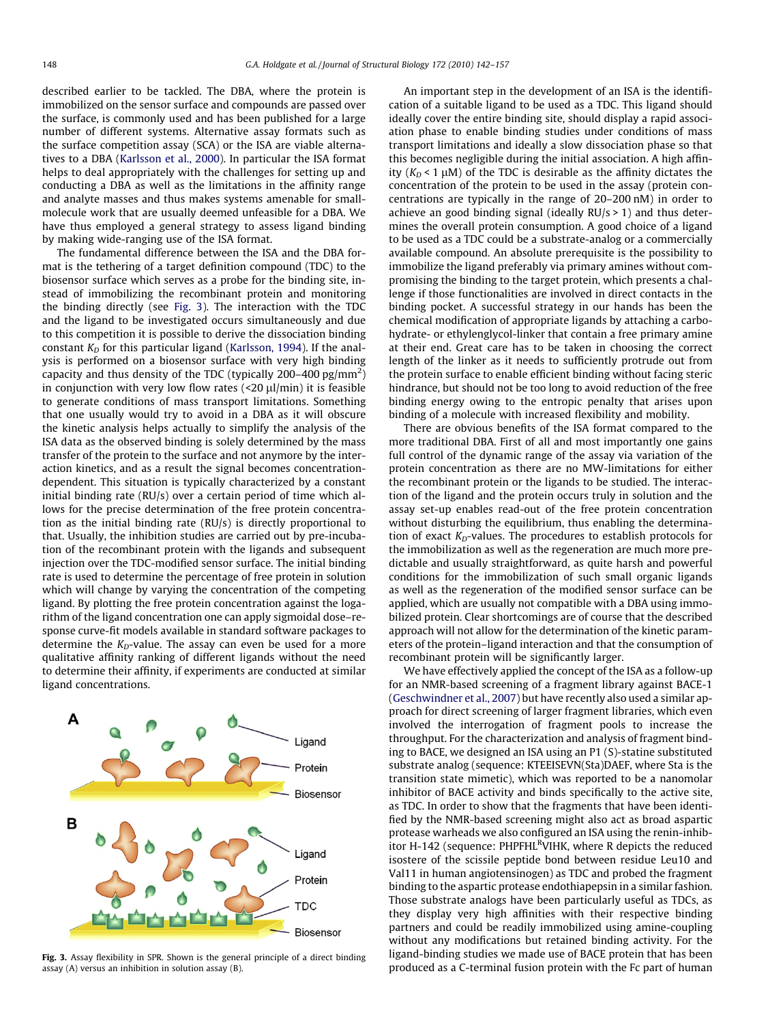described earlier to be tackled. The DBA, where the protein is immobilized on the sensor surface and compounds are passed over the surface, is commonly used and has been published for a large number of different systems. Alternative assay formats such as the surface competition assay (SCA) or the ISA are viable alternatives to a DBA [\(Karlsson et al., 2000](#page-14-0)). In particular the ISA format helps to deal appropriately with the challenges for setting up and conducting a DBA as well as the limitations in the affinity range and analyte masses and thus makes systems amenable for smallmolecule work that are usually deemed unfeasible for a DBA. We have thus employed a general strategy to assess ligand binding by making wide-ranging use of the ISA format.

The fundamental difference between the ISA and the DBA format is the tethering of a target definition compound (TDC) to the biosensor surface which serves as a probe for the binding site, instead of immobilizing the recombinant protein and monitoring the binding directly (see Fig. 3). The interaction with the TDC and the ligand to be investigated occurs simultaneously and due to this competition it is possible to derive the dissociation binding constant  $K_D$  for this particular ligand [\(Karlsson, 1994](#page-14-0)). If the analysis is performed on a biosensor surface with very high binding capacity and thus density of the TDC (typically 200–400 pg/mm<sup>2</sup>) in conjunction with very low flow rates  $\left($  <20  $\mu$ l/min) it is feasible to generate conditions of mass transport limitations. Something that one usually would try to avoid in a DBA as it will obscure the kinetic analysis helps actually to simplify the analysis of the ISA data as the observed binding is solely determined by the mass transfer of the protein to the surface and not anymore by the interaction kinetics, and as a result the signal becomes concentrationdependent. This situation is typically characterized by a constant initial binding rate (RU/s) over a certain period of time which allows for the precise determination of the free protein concentration as the initial binding rate (RU/s) is directly proportional to that. Usually, the inhibition studies are carried out by pre-incubation of the recombinant protein with the ligands and subsequent injection over the TDC-modified sensor surface. The initial binding rate is used to determine the percentage of free protein in solution which will change by varying the concentration of the competing ligand. By plotting the free protein concentration against the logarithm of the ligand concentration one can apply sigmoidal dose–response curve-fit models available in standard software packages to determine the  $K_D$ -value. The assay can even be used for a more qualitative affinity ranking of different ligands without the need to determine their affinity, if experiments are conducted at similar ligand concentrations.



Fig. 3. Assay flexibility in SPR. Shown is the general principle of a direct binding assay (A) versus an inhibition in solution assay (B).

An important step in the development of an ISA is the identification of a suitable ligand to be used as a TDC. This ligand should ideally cover the entire binding site, should display a rapid association phase to enable binding studies under conditions of mass transport limitations and ideally a slow dissociation phase so that this becomes negligible during the initial association. A high affinity  $(K_D < 1 \mu M)$  of the TDC is desirable as the affinity dictates the concentration of the protein to be used in the assay (protein concentrations are typically in the range of 20–200 nM) in order to achieve an good binding signal (ideally  $RU/s > 1$ ) and thus determines the overall protein consumption. A good choice of a ligand to be used as a TDC could be a substrate-analog or a commercially available compound. An absolute prerequisite is the possibility to immobilize the ligand preferably via primary amines without compromising the binding to the target protein, which presents a challenge if those functionalities are involved in direct contacts in the binding pocket. A successful strategy in our hands has been the chemical modification of appropriate ligands by attaching a carbohydrate- or ethylenglycol-linker that contain a free primary amine at their end. Great care has to be taken in choosing the correct length of the linker as it needs to sufficiently protrude out from the protein surface to enable efficient binding without facing steric hindrance, but should not be too long to avoid reduction of the free binding energy owing to the entropic penalty that arises upon binding of a molecule with increased flexibility and mobility.

There are obvious benefits of the ISA format compared to the more traditional DBA. First of all and most importantly one gains full control of the dynamic range of the assay via variation of the protein concentration as there are no MW-limitations for either the recombinant protein or the ligands to be studied. The interaction of the ligand and the protein occurs truly in solution and the assay set-up enables read-out of the free protein concentration without disturbing the equilibrium, thus enabling the determination of exact  $K_D$ -values. The procedures to establish protocols for the immobilization as well as the regeneration are much more predictable and usually straightforward, as quite harsh and powerful conditions for the immobilization of such small organic ligands as well as the regeneration of the modified sensor surface can be applied, which are usually not compatible with a DBA using immobilized protein. Clear shortcomings are of course that the described approach will not allow for the determination of the kinetic parameters of the protein–ligand interaction and that the consumption of recombinant protein will be significantly larger.

We have effectively applied the concept of the ISA as a follow-up for an NMR-based screening of a fragment library against BACE-1 ([Geschwindner et al., 2007](#page-14-0)) but have recently also used a similar approach for direct screening of larger fragment libraries, which even involved the interrogation of fragment pools to increase the throughput. For the characterization and analysis of fragment binding to BACE, we designed an ISA using an P1 (S)-statine substituted substrate analog (sequence: KTEEISEVN(Sta)DAEF, where Sta is the transition state mimetic), which was reported to be a nanomolar inhibitor of BACE activity and binds specifically to the active site, as TDC. In order to show that the fragments that have been identified by the NMR-based screening might also act as broad aspartic protease warheads we also configured an ISA using the renin-inhibitor H-142 (sequence: PHPFHL<sup>R</sup>VIHK, where R depicts the reduced isostere of the scissile peptide bond between residue Leu10 and Val11 in human angiotensinogen) as TDC and probed the fragment binding to the aspartic protease endothiapepsin in a similar fashion. Those substrate analogs have been particularly useful as TDCs, as they display very high affinities with their respective binding partners and could be readily immobilized using amine-coupling without any modifications but retained binding activity. For the ligand-binding studies we made use of BACE protein that has been produced as a C-terminal fusion protein with the Fc part of human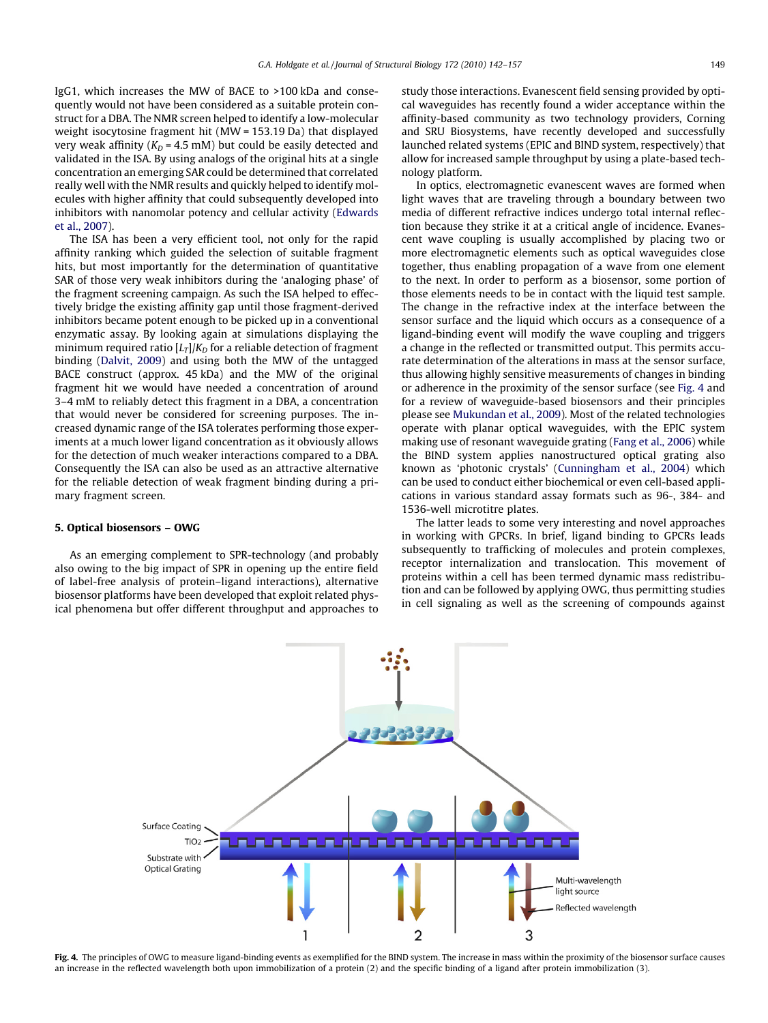<span id="page-7-0"></span>IgG1, which increases the MW of BACE to >100 kDa and consequently would not have been considered as a suitable protein construct for a DBA. The NMR screen helped to identify a low-molecular weight isocytosine fragment hit (MW = 153.19 Da) that displayed very weak affinity ( $K_D$  = 4.5 mM) but could be easily detected and validated in the ISA. By using analogs of the original hits at a single concentration an emerging SAR could be determined that correlated really well with the NMR results and quickly helped to identify molecules with higher affinity that could subsequently developed into inhibitors with nanomolar potency and cellular activity [\(Edwards](#page-14-0) [et al., 2007\)](#page-14-0).

The ISA has been a very efficient tool, not only for the rapid affinity ranking which guided the selection of suitable fragment hits, but most importantly for the determination of quantitative SAR of those very weak inhibitors during the 'analoging phase' of the fragment screening campaign. As such the ISA helped to effectively bridge the existing affinity gap until those fragment-derived inhibitors became potent enough to be picked up in a conventional enzymatic assay. By looking again at simulations displaying the minimum required ratio  $[L_T]/K_D$  for a reliable detection of fragment binding [\(Dalvit, 2009](#page-14-0)) and using both the MW of the untagged BACE construct (approx. 45 kDa) and the MW of the original fragment hit we would have needed a concentration of around 3–4 mM to reliably detect this fragment in a DBA, a concentration that would never be considered for screening purposes. The increased dynamic range of the ISA tolerates performing those experiments at a much lower ligand concentration as it obviously allows for the detection of much weaker interactions compared to a DBA. Consequently the ISA can also be used as an attractive alternative for the reliable detection of weak fragment binding during a primary fragment screen.

#### 5. Optical biosensors – OWG

As an emerging complement to SPR-technology (and probably also owing to the big impact of SPR in opening up the entire field of label-free analysis of protein–ligand interactions), alternative biosensor platforms have been developed that exploit related physical phenomena but offer different throughput and approaches to study those interactions. Evanescent field sensing provided by optical waveguides has recently found a wider acceptance within the affinity-based community as two technology providers, Corning and SRU Biosystems, have recently developed and successfully launched related systems (EPIC and BIND system, respectively) that allow for increased sample throughput by using a plate-based technology platform.

In optics, electromagnetic evanescent waves are formed when light waves that are traveling through a boundary between two media of different refractive indices undergo total internal reflection because they strike it at a critical angle of incidence. Evanescent wave coupling is usually accomplished by placing two or more electromagnetic elements such as optical waveguides close together, thus enabling propagation of a wave from one element to the next. In order to perform as a biosensor, some portion of those elements needs to be in contact with the liquid test sample. The change in the refractive index at the interface between the sensor surface and the liquid which occurs as a consequence of a ligand-binding event will modify the wave coupling and triggers a change in the reflected or transmitted output. This permits accurate determination of the alterations in mass at the sensor surface, thus allowing highly sensitive measurements of changes in binding or adherence in the proximity of the sensor surface (see Fig. 4 and for a review of waveguide-based biosensors and their principles please see [Mukundan et al., 2009](#page-14-0)). Most of the related technologies operate with planar optical waveguides, with the EPIC system making use of resonant waveguide grating ([Fang et al., 2006](#page-14-0)) while the BIND system applies nanostructured optical grating also known as 'photonic crystals' ([Cunningham et al., 2004\)](#page-14-0) which can be used to conduct either biochemical or even cell-based applications in various standard assay formats such as 96-, 384- and 1536-well microtitre plates.

The latter leads to some very interesting and novel approaches in working with GPCRs. In brief, ligand binding to GPCRs leads subsequently to trafficking of molecules and protein complexes, receptor internalization and translocation. This movement of proteins within a cell has been termed dynamic mass redistribution and can be followed by applying OWG, thus permitting studies in cell signaling as well as the screening of compounds against



Fig. 4. The principles of OWG to measure ligand-binding events as exemplified for the BIND system. The increase in mass within the proximity of the biosensor surface causes an increase in the reflected wavelength both upon immobilization of a protein (2) and the specific binding of a ligand after protein immobilization (3).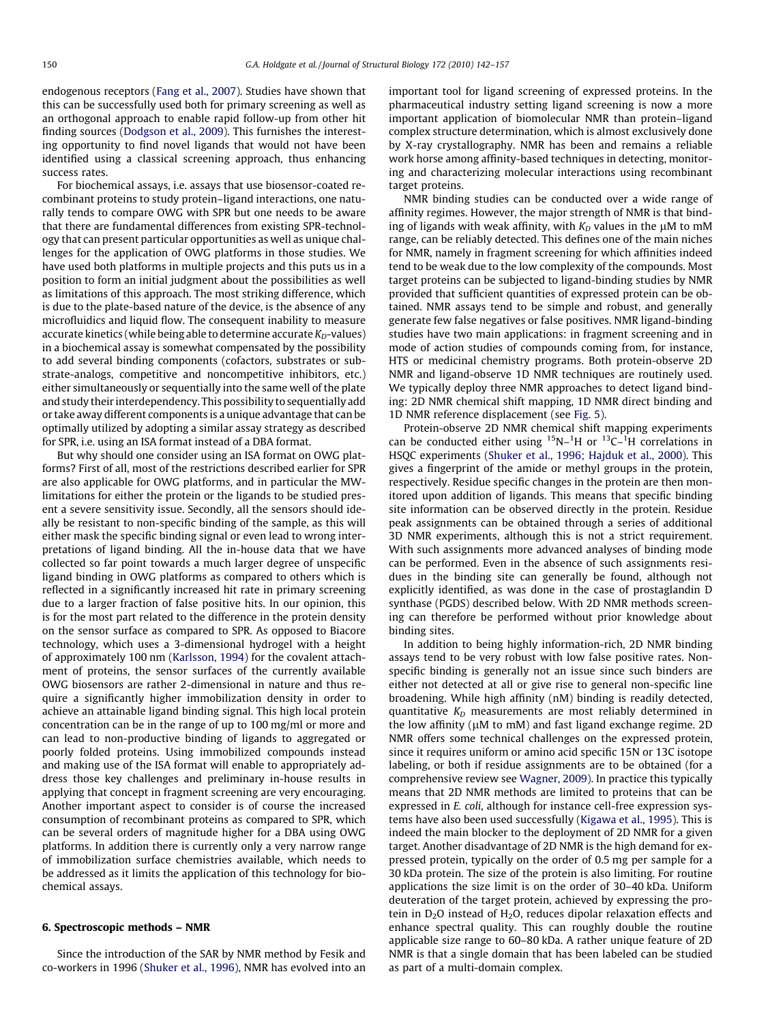endogenous receptors [\(Fang et al., 2007](#page-14-0)). Studies have shown that this can be successfully used both for primary screening as well as an orthogonal approach to enable rapid follow-up from other hit finding sources ([Dodgson et al., 2009](#page-14-0)). This furnishes the interesting opportunity to find novel ligands that would not have been identified using a classical screening approach, thus enhancing success rates.

For biochemical assays, i.e. assays that use biosensor-coated recombinant proteins to study protein–ligand interactions, one naturally tends to compare OWG with SPR but one needs to be aware that there are fundamental differences from existing SPR-technology that can present particular opportunities as well as unique challenges for the application of OWG platforms in those studies. We have used both platforms in multiple projects and this puts us in a position to form an initial judgment about the possibilities as well as limitations of this approach. The most striking difference, which is due to the plate-based nature of the device, is the absence of any microfluidics and liquid flow. The consequent inability to measure accurate kinetics (while being able to determine accurate  $K_D$ -values) in a biochemical assay is somewhat compensated by the possibility to add several binding components (cofactors, substrates or substrate-analogs, competitive and noncompetitive inhibitors, etc.) either simultaneously or sequentially into the same well of the plate and study their interdependency. This possibility to sequentially add or take away different components is a unique advantage that can be optimally utilized by adopting a similar assay strategy as described for SPR, i.e. using an ISA format instead of a DBA format.

But why should one consider using an ISA format on OWG platforms? First of all, most of the restrictions described earlier for SPR are also applicable for OWG platforms, and in particular the MWlimitations for either the protein or the ligands to be studied present a severe sensitivity issue. Secondly, all the sensors should ideally be resistant to non-specific binding of the sample, as this will either mask the specific binding signal or even lead to wrong interpretations of ligand binding. All the in-house data that we have collected so far point towards a much larger degree of unspecific ligand binding in OWG platforms as compared to others which is reflected in a significantly increased hit rate in primary screening due to a larger fraction of false positive hits. In our opinion, this is for the most part related to the difference in the protein density on the sensor surface as compared to SPR. As opposed to Biacore technology, which uses a 3-dimensional hydrogel with a height of approximately 100 nm ([Karlsson, 1994](#page-14-0)) for the covalent attachment of proteins, the sensor surfaces of the currently available OWG biosensors are rather 2-dimensional in nature and thus require a significantly higher immobilization density in order to achieve an attainable ligand binding signal. This high local protein concentration can be in the range of up to 100 mg/ml or more and can lead to non-productive binding of ligands to aggregated or poorly folded proteins. Using immobilized compounds instead and making use of the ISA format will enable to appropriately address those key challenges and preliminary in-house results in applying that concept in fragment screening are very encouraging. Another important aspect to consider is of course the increased consumption of recombinant proteins as compared to SPR, which can be several orders of magnitude higher for a DBA using OWG platforms. In addition there is currently only a very narrow range of immobilization surface chemistries available, which needs to be addressed as it limits the application of this technology for biochemical assays.

#### 6. Spectroscopic methods – NMR

Since the introduction of the SAR by NMR method by Fesik and co-workers in 1996 ([Shuker et al., 1996\)](#page-15-0), NMR has evolved into an

important tool for ligand screening of expressed proteins. In the pharmaceutical industry setting ligand screening is now a more important application of biomolecular NMR than protein–ligand complex structure determination, which is almost exclusively done by X-ray crystallography. NMR has been and remains a reliable work horse among affinity-based techniques in detecting, monitoring and characterizing molecular interactions using recombinant target proteins.

NMR binding studies can be conducted over a wide range of affinity regimes. However, the major strength of NMR is that binding of ligands with weak affinity, with  $K_D$  values in the  $\mu$ M to mM range, can be reliably detected. This defines one of the main niches for NMR, namely in fragment screening for which affinities indeed tend to be weak due to the low complexity of the compounds. Most target proteins can be subjected to ligand-binding studies by NMR provided that sufficient quantities of expressed protein can be obtained. NMR assays tend to be simple and robust, and generally generate few false negatives or false positives. NMR ligand-binding studies have two main applications: in fragment screening and in mode of action studies of compounds coming from, for instance, HTS or medicinal chemistry programs. Both protein-observe 2D NMR and ligand-observe 1D NMR techniques are routinely used. We typically deploy three NMR approaches to detect ligand binding: 2D NMR chemical shift mapping, 1D NMR direct binding and 1D NMR reference displacement (see [Fig. 5\)](#page-9-0).

Protein-observe 2D NMR chemical shift mapping experiments can be conducted either using  ${}^{15}N-{}^{1}H$  or  ${}^{13}C-{}^{1}H$  correlations in HSQC experiments ([Shuker et al., 1996; Hajduk et al., 2000](#page-15-0)). This gives a fingerprint of the amide or methyl groups in the protein, respectively. Residue specific changes in the protein are then monitored upon addition of ligands. This means that specific binding site information can be observed directly in the protein. Residue peak assignments can be obtained through a series of additional 3D NMR experiments, although this is not a strict requirement. With such assignments more advanced analyses of binding mode can be performed. Even in the absence of such assignments residues in the binding site can generally be found, although not explicitly identified, as was done in the case of prostaglandin D synthase (PGDS) described below. With 2D NMR methods screening can therefore be performed without prior knowledge about binding sites.

In addition to being highly information-rich, 2D NMR binding assays tend to be very robust with low false positive rates. Nonspecific binding is generally not an issue since such binders are either not detected at all or give rise to general non-specific line broadening. While high affinity (nM) binding is readily detected, quantitative  $K_D$  measurements are most reliably determined in the low affinity ( $\mu$ M to mM) and fast ligand exchange regime. 2D NMR offers some technical challenges on the expressed protein, since it requires uniform or amino acid specific 15N or 13C isotope labeling, or both if residue assignments are to be obtained (for a comprehensive review see [Wagner, 2009\)](#page-15-0). In practice this typically means that 2D NMR methods are limited to proteins that can be expressed in E. coli, although for instance cell-free expression systems have also been used successfully [\(Kigawa et al., 1995\)](#page-14-0). This is indeed the main blocker to the deployment of 2D NMR for a given target. Another disadvantage of 2D NMR is the high demand for expressed protein, typically on the order of 0.5 mg per sample for a 30 kDa protein. The size of the protein is also limiting. For routine applications the size limit is on the order of 30–40 kDa. Uniform deuteration of the target protein, achieved by expressing the protein in  $D_2O$  instead of  $H_2O$ , reduces dipolar relaxation effects and enhance spectral quality. This can roughly double the routine applicable size range to 60–80 kDa. A rather unique feature of 2D NMR is that a single domain that has been labeled can be studied as part of a multi-domain complex.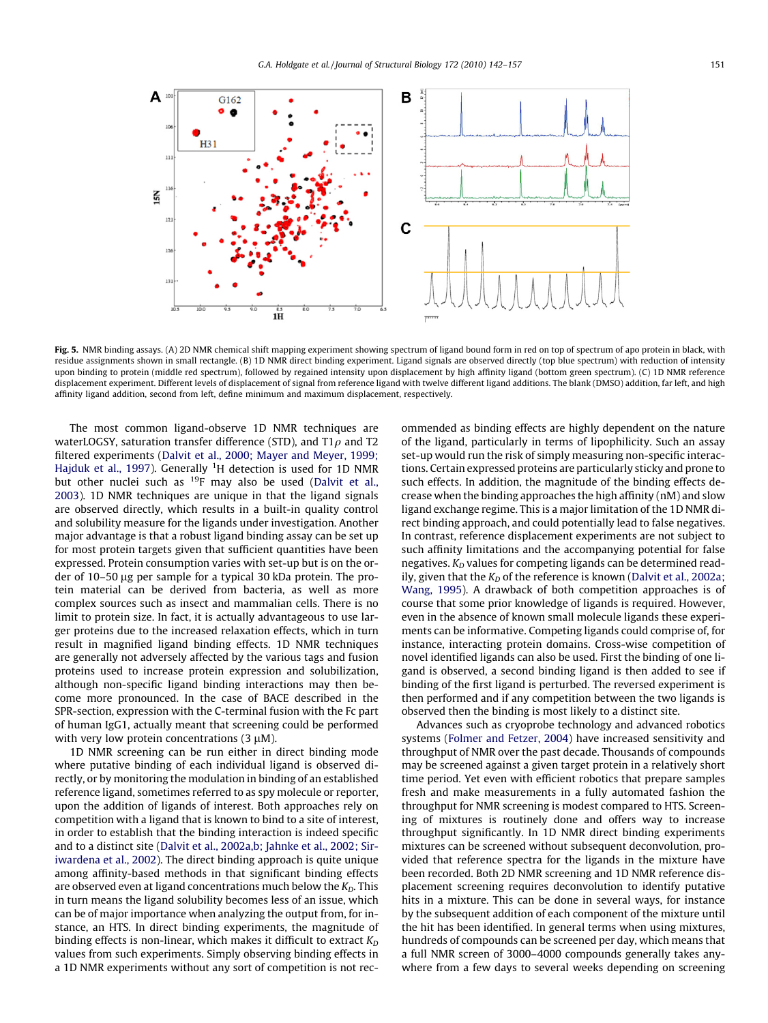<span id="page-9-0"></span>

Fig. 5. NMR binding assays. (A) 2D NMR chemical shift mapping experiment showing spectrum of ligand bound form in red on top of spectrum of apo protein in black, with residue assignments shown in small rectangle. (B) 1D NMR direct binding experiment. Ligand signals are observed directly (top blue spectrum) with reduction of intensity upon binding to protein (middle red spectrum), followed by regained intensity upon displacement by high affinity ligand (bottom green spectrum). (C) 1D NMR reference displacement experiment. Different levels of displacement of signal from reference ligand with twelve different ligand additions. The blank (DMSO) addition, far left, and high affinity ligand addition, second from left, define minimum and maximum displacement, respectively.

The most common ligand-observe 1D NMR techniques are waterLOGSY, saturation transfer difference (STD), and T1 $\rho$  and T2 filtered experiments ([Dalvit et al., 2000; Mayer and Meyer, 1999;](#page-14-0) [Hajduk et al., 1997\)](#page-14-0). Generally <sup>1</sup>H detection is used for 1D NMR but other nuclei such as <sup>19</sup>F may also be used ([Dalvit et al.,](#page-14-0) [2003](#page-14-0)). 1D NMR techniques are unique in that the ligand signals are observed directly, which results in a built-in quality control and solubility measure for the ligands under investigation. Another major advantage is that a robust ligand binding assay can be set up for most protein targets given that sufficient quantities have been expressed. Protein consumption varies with set-up but is on the order of 10–50 µg per sample for a typical 30 kDa protein. The protein material can be derived from bacteria, as well as more complex sources such as insect and mammalian cells. There is no limit to protein size. In fact, it is actually advantageous to use larger proteins due to the increased relaxation effects, which in turn result in magnified ligand binding effects. 1D NMR techniques are generally not adversely affected by the various tags and fusion proteins used to increase protein expression and solubilization, although non-specific ligand binding interactions may then become more pronounced. In the case of BACE described in the SPR-section, expression with the C-terminal fusion with the Fc part of human IgG1, actually meant that screening could be performed with very low protein concentrations  $(3 \mu M)$ .

1D NMR screening can be run either in direct binding mode where putative binding of each individual ligand is observed directly, or by monitoring the modulation in binding of an established reference ligand, sometimes referred to as spy molecule or reporter, upon the addition of ligands of interest. Both approaches rely on competition with a ligand that is known to bind to a site of interest, in order to establish that the binding interaction is indeed specific and to a distinct site [\(Dalvit et al., 2002a,b; Jahnke et al., 2002; Sir](#page-14-0)[iwardena et al., 2002](#page-14-0)). The direct binding approach is quite unique among affinity-based methods in that significant binding effects are observed even at ligand concentrations much below the  $K_D$ . This in turn means the ligand solubility becomes less of an issue, which can be of major importance when analyzing the output from, for instance, an HTS. In direct binding experiments, the magnitude of binding effects is non-linear, which makes it difficult to extract  $K_D$ values from such experiments. Simply observing binding effects in a 1D NMR experiments without any sort of competition is not recommended as binding effects are highly dependent on the nature of the ligand, particularly in terms of lipophilicity. Such an assay set-up would run the risk of simply measuring non-specific interactions. Certain expressed proteins are particularly sticky and prone to such effects. In addition, the magnitude of the binding effects decrease when the binding approaches the high affinity (nM) and slow ligand exchange regime. This is a major limitation of the 1D NMR direct binding approach, and could potentially lead to false negatives. In contrast, reference displacement experiments are not subject to such affinity limitations and the accompanying potential for false negatives.  $K_D$  values for competing ligands can be determined readily, given that the  $K_D$  of the reference is known [\(Dalvit et al., 2002a;](#page-14-0) [Wang, 1995](#page-14-0)). A drawback of both competition approaches is of course that some prior knowledge of ligands is required. However, even in the absence of known small molecule ligands these experiments can be informative. Competing ligands could comprise of, for instance, interacting protein domains. Cross-wise competition of novel identified ligands can also be used. First the binding of one ligand is observed, a second binding ligand is then added to see if binding of the first ligand is perturbed. The reversed experiment is then performed and if any competition between the two ligands is observed then the binding is most likely to a distinct site.

Advances such as cryoprobe technology and advanced robotics systems ([Folmer and Fetzer, 2004](#page-14-0)) have increased sensitivity and throughput of NMR over the past decade. Thousands of compounds may be screened against a given target protein in a relatively short time period. Yet even with efficient robotics that prepare samples fresh and make measurements in a fully automated fashion the throughput for NMR screening is modest compared to HTS. Screening of mixtures is routinely done and offers way to increase throughput significantly. In 1D NMR direct binding experiments mixtures can be screened without subsequent deconvolution, provided that reference spectra for the ligands in the mixture have been recorded. Both 2D NMR screening and 1D NMR reference displacement screening requires deconvolution to identify putative hits in a mixture. This can be done in several ways, for instance by the subsequent addition of each component of the mixture until the hit has been identified. In general terms when using mixtures, hundreds of compounds can be screened per day, which means that a full NMR screen of 3000–4000 compounds generally takes anywhere from a few days to several weeks depending on screening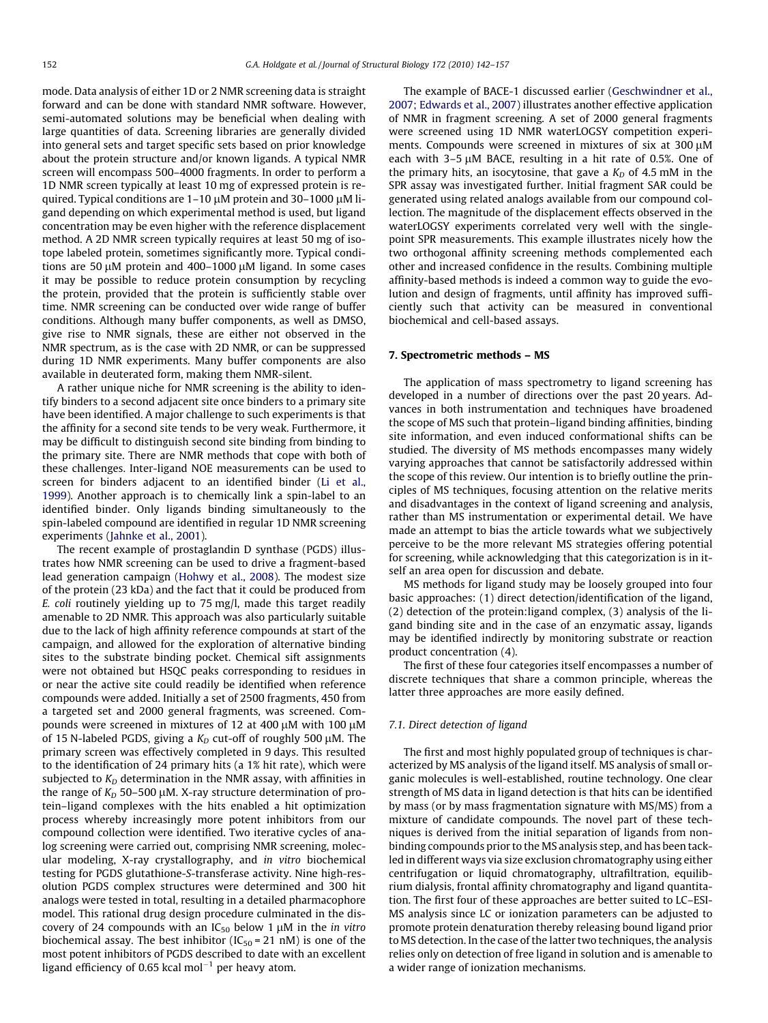mode. Data analysis of either 1D or 2 NMR screening data is straight forward and can be done with standard NMR software. However, semi-automated solutions may be beneficial when dealing with large quantities of data. Screening libraries are generally divided into general sets and target specific sets based on prior knowledge about the protein structure and/or known ligands. A typical NMR screen will encompass 500–4000 fragments. In order to perform a 1D NMR screen typically at least 10 mg of expressed protein is required. Typical conditions are  $1-10 \mu$ M protein and 30–1000  $\mu$ M ligand depending on which experimental method is used, but ligand concentration may be even higher with the reference displacement method. A 2D NMR screen typically requires at least 50 mg of isotope labeled protein, sometimes significantly more. Typical conditions are 50  $\mu$ M protein and 400–1000  $\mu$ M ligand. In some cases it may be possible to reduce protein consumption by recycling the protein, provided that the protein is sufficiently stable over time. NMR screening can be conducted over wide range of buffer conditions. Although many buffer components, as well as DMSO, give rise to NMR signals, these are either not observed in the NMR spectrum, as is the case with 2D NMR, or can be suppressed during 1D NMR experiments. Many buffer components are also available in deuterated form, making them NMR-silent.

A rather unique niche for NMR screening is the ability to identify binders to a second adjacent site once binders to a primary site have been identified. A major challenge to such experiments is that the affinity for a second site tends to be very weak. Furthermore, it may be difficult to distinguish second site binding from binding to the primary site. There are NMR methods that cope with both of these challenges. Inter-ligand NOE measurements can be used to screen for binders adjacent to an identified binder [\(Li et al.,](#page-14-0) [1999\)](#page-14-0). Another approach is to chemically link a spin-label to an identified binder. Only ligands binding simultaneously to the spin-labeled compound are identified in regular 1D NMR screening experiments ([Jahnke et al., 2001\)](#page-14-0).

The recent example of prostaglandin D synthase (PGDS) illustrates how NMR screening can be used to drive a fragment-based lead generation campaign ([Hohwy et al., 2008\)](#page-14-0). The modest size of the protein (23 kDa) and the fact that it could be produced from E. coli routinely yielding up to 75 mg/l, made this target readily amenable to 2D NMR. This approach was also particularly suitable due to the lack of high affinity reference compounds at start of the campaign, and allowed for the exploration of alternative binding sites to the substrate binding pocket. Chemical sift assignments were not obtained but HSQC peaks corresponding to residues in or near the active site could readily be identified when reference compounds were added. Initially a set of 2500 fragments, 450 from a targeted set and 2000 general fragments, was screened. Compounds were screened in mixtures of 12 at 400  $\mu$ M with 100  $\mu$ M of 15 N-labeled PGDS, giving a  $K_D$  cut-off of roughly 500  $\mu$ M. The primary screen was effectively completed in 9 days. This resulted to the identification of 24 primary hits (a 1% hit rate), which were subjected to  $K_D$  determination in the NMR assay, with affinities in the range of  $K_D$  50–500 µM. X-ray structure determination of protein–ligand complexes with the hits enabled a hit optimization process whereby increasingly more potent inhibitors from our compound collection were identified. Two iterative cycles of analog screening were carried out, comprising NMR screening, molecular modeling, X-ray crystallography, and in vitro biochemical testing for PGDS glutathione-S-transferase activity. Nine high-resolution PGDS complex structures were determined and 300 hit analogs were tested in total, resulting in a detailed pharmacophore model. This rational drug design procedure culminated in the discovery of 24 compounds with an  $IC_{50}$  below 1  $\mu$ M in the *in vitro* biochemical assay. The best inhibitor ( $IC_{50} = 21$  nM) is one of the most potent inhibitors of PGDS described to date with an excellent ligand efficiency of 0.65 kcal mol $^{-1}$  per heavy atom.

The example of BACE-1 discussed earlier ([Geschwindner et al.,](#page-14-0) [2007; Edwards et al., 2007\)](#page-14-0) illustrates another effective application of NMR in fragment screening. A set of 2000 general fragments were screened using 1D NMR waterLOGSY competition experiments. Compounds were screened in mixtures of six at 300  $\mu$ M each with  $3-5 \mu M$  BACE, resulting in a hit rate of 0.5%. One of the primary hits, an isocytosine, that gave a  $K_D$  of 4.5 mM in the SPR assay was investigated further. Initial fragment SAR could be generated using related analogs available from our compound collection. The magnitude of the displacement effects observed in the waterLOGSY experiments correlated very well with the singlepoint SPR measurements. This example illustrates nicely how the two orthogonal affinity screening methods complemented each other and increased confidence in the results. Combining multiple affinity-based methods is indeed a common way to guide the evolution and design of fragments, until affinity has improved sufficiently such that activity can be measured in conventional biochemical and cell-based assays.

## 7. Spectrometric methods – MS

The application of mass spectrometry to ligand screening has developed in a number of directions over the past 20 years. Advances in both instrumentation and techniques have broadened the scope of MS such that protein–ligand binding affinities, binding site information, and even induced conformational shifts can be studied. The diversity of MS methods encompasses many widely varying approaches that cannot be satisfactorily addressed within the scope of this review. Our intention is to briefly outline the principles of MS techniques, focusing attention on the relative merits and disadvantages in the context of ligand screening and analysis, rather than MS instrumentation or experimental detail. We have made an attempt to bias the article towards what we subjectively perceive to be the more relevant MS strategies offering potential for screening, while acknowledging that this categorization is in itself an area open for discussion and debate.

MS methods for ligand study may be loosely grouped into four basic approaches: (1) direct detection/identification of the ligand, (2) detection of the protein:ligand complex, (3) analysis of the ligand binding site and in the case of an enzymatic assay, ligands may be identified indirectly by monitoring substrate or reaction product concentration (4).

The first of these four categories itself encompasses a number of discrete techniques that share a common principle, whereas the latter three approaches are more easily defined.

#### 7.1. Direct detection of ligand

The first and most highly populated group of techniques is characterized by MS analysis of the ligand itself. MS analysis of small organic molecules is well-established, routine technology. One clear strength of MS data in ligand detection is that hits can be identified by mass (or by mass fragmentation signature with MS/MS) from a mixture of candidate compounds. The novel part of these techniques is derived from the initial separation of ligands from nonbinding compounds prior to the MS analysis step, and has been tackled in different ways via size exclusion chromatography using either centrifugation or liquid chromatography, ultrafiltration, equilibrium dialysis, frontal affinity chromatography and ligand quantitation. The first four of these approaches are better suited to LC–ESI-MS analysis since LC or ionization parameters can be adjusted to promote protein denaturation thereby releasing bound ligand prior to MS detection. In the case of the latter two techniques, the analysis relies only on detection of free ligand in solution and is amenable to a wider range of ionization mechanisms.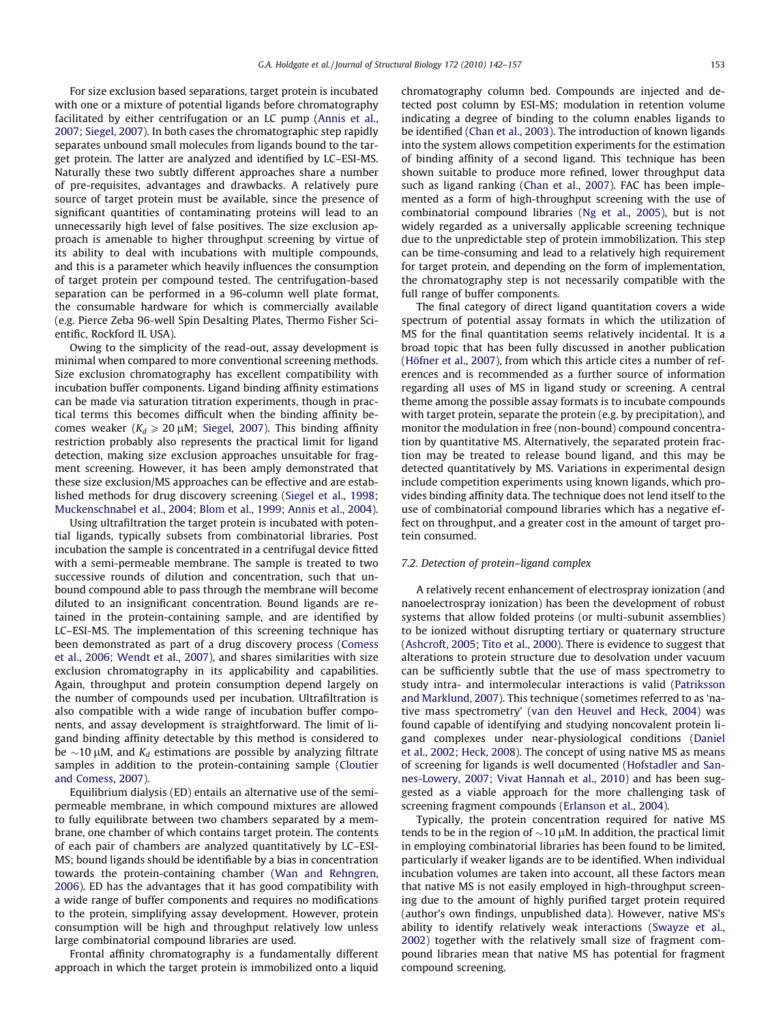For size exclusion based separations, target protein is incubated with one or a mixture of potential ligands before chromatography facilitated by either centrifugation or an LC pump ([Annis et al.,](#page-13-0) [2007; Siegel, 2007](#page-13-0)). In both cases the chromatographic step rapidly separates unbound small molecules from ligands bound to the target protein. The latter are analyzed and identified by LC–ESI-MS. Naturally these two subtly different approaches share a number of pre-requisites, advantages and drawbacks. A relatively pure source of target protein must be available, since the presence of significant quantities of contaminating proteins will lead to an unnecessarily high level of false positives. The size exclusion approach is amenable to higher throughput screening by virtue of its ability to deal with incubations with multiple compounds, and this is a parameter which heavily influences the consumption of target protein per compound tested. The centrifugation-based separation can be performed in a 96-column well plate format, the consumable hardware for which is commercially available (e.g. Pierce Zeba 96-well Spin Desalting Plates, Thermo Fisher Scientific, Rockford IL USA).

Owing to the simplicity of the read-out, assay development is minimal when compared to more conventional screening methods. Size exclusion chromatography has excellent compatibility with incubation buffer components. Ligand binding affinity estimations can be made via saturation titration experiments, though in practical terms this becomes difficult when the binding affinity becomes weaker ( $K_d \ge 20 \mu$ M; [Siegel, 2007\)](#page-15-0). This binding affinity restriction probably also represents the practical limit for ligand detection, making size exclusion approaches unsuitable for fragment screening. However, it has been amply demonstrated that these size exclusion/MS approaches can be effective and are established methods for drug discovery screening ([Siegel et al., 1998;](#page-15-0) [Muckenschnabel et al., 2004; Blom et al., 1999; Annis et al., 2004\)](#page-15-0).

Using ultrafiltration the target protein is incubated with potential ligands, typically subsets from combinatorial libraries. Post incubation the sample is concentrated in a centrifugal device fitted with a semi-permeable membrane. The sample is treated to two successive rounds of dilution and concentration, such that unbound compound able to pass through the membrane will become diluted to an insignificant concentration. Bound ligands are retained in the protein-containing sample, and are identified by LC–ESI-MS. The implementation of this screening technique has been demonstrated as part of a drug discovery process ([Comess](#page-14-0) [et al., 2006; Wendt et al., 2007](#page-14-0)), and shares similarities with size exclusion chromatography in its applicability and capabilities. Again, throughput and protein consumption depend largely on the number of compounds used per incubation. Ultrafiltration is also compatible with a wide range of incubation buffer components, and assay development is straightforward. The limit of ligand binding affinity detectable by this method is considered to be  $\sim$ 10 µM, and K<sub>d</sub> estimations are possible by analyzing filtrate samples in addition to the protein-containing sample ([Cloutier](#page-13-0) [and Comess, 2007](#page-13-0)).

Equilibrium dialysis (ED) entails an alternative use of the semipermeable membrane, in which compound mixtures are allowed to fully equilibrate between two chambers separated by a membrane, one chamber of which contains target protein. The contents of each pair of chambers are analyzed quantitatively by LC–ESI-MS; bound ligands should be identifiable by a bias in concentration towards the protein-containing chamber [\(Wan and Rehngren,](#page-15-0) [2006](#page-15-0)). ED has the advantages that it has good compatibility with a wide range of buffer components and requires no modifications to the protein, simplifying assay development. However, protein consumption will be high and throughput relatively low unless large combinatorial compound libraries are used.

Frontal affinity chromatography is a fundamentally different approach in which the target protein is immobilized onto a liquid chromatography column bed. Compounds are injected and detected post column by ESI-MS; modulation in retention volume indicating a degree of binding to the column enables ligands to be identified ([Chan et al., 2003](#page-13-0)). The introduction of known ligands into the system allows competition experiments for the estimation of binding affinity of a second ligand. This technique has been shown suitable to produce more refined, lower throughput data such as ligand ranking [\(Chan et al., 2007\)](#page-13-0). FAC has been implemented as a form of high-throughput screening with the use of combinatorial compound libraries ([Ng et al., 2005\)](#page-14-0), but is not widely regarded as a universally applicable screening technique due to the unpredictable step of protein immobilization. This step can be time-consuming and lead to a relatively high requirement for target protein, and depending on the form of implementation, the chromatography step is not necessarily compatible with the full range of buffer components.

The final category of direct ligand quantitation covers a wide spectrum of potential assay formats in which the utilization of MS for the final quantitation seems relatively incidental. It is a broad topic that has been fully discussed in another publication ([Höfner et al., 2007](#page-14-0)), from which this article cites a number of references and is recommended as a further source of information regarding all uses of MS in ligand study or screening. A central theme among the possible assay formats is to incubate compounds with target protein, separate the protein (e.g. by precipitation), and monitor the modulation in free (non-bound) compound concentration by quantitative MS. Alternatively, the separated protein fraction may be treated to release bound ligand, and this may be detected quantitatively by MS. Variations in experimental design include competition experiments using known ligands, which provides binding affinity data. The technique does not lend itself to the use of combinatorial compound libraries which has a negative effect on throughput, and a greater cost in the amount of target protein consumed.

## 7.2. Detection of protein–ligand complex

A relatively recent enhancement of electrospray ionization (and nanoelectrospray ionization) has been the development of robust systems that allow folded proteins (or multi-subunit assemblies) to be ionized without disrupting tertiary or quaternary structure ([Ashcroft, 2005; Tito et al., 2000](#page-13-0)). There is evidence to suggest that alterations to protein structure due to desolvation under vacuum can be sufficiently subtle that the use of mass spectrometry to study intra- and intermolecular interactions is valid ([Patriksson](#page-15-0) [and Marklund, 2007\)](#page-15-0). This technique (sometimes referred to as 'native mass spectrometry' [\(van den Heuvel and Heck, 2004\)](#page-15-0) was found capable of identifying and studying noncovalent protein ligand complexes under near-physiological conditions [\(Daniel](#page-14-0) [et al., 2002; Heck, 2008](#page-14-0)). The concept of using native MS as means of screening for ligands is well documented [\(Hofstadler and San](#page-14-0)[nes-Lowery, 2007; Vivat Hannah et al., 2010\)](#page-14-0) and has been suggested as a viable approach for the more challenging task of screening fragment compounds [\(Erlanson et al., 2004\)](#page-14-0).

Typically, the protein concentration required for native MS tends to be in the region of  $\sim$ 10 µM. In addition, the practical limit in employing combinatorial libraries has been found to be limited, particularly if weaker ligands are to be identified. When individual incubation volumes are taken into account, all these factors mean that native MS is not easily employed in high-throughput screening due to the amount of highly purified target protein required (author's own findings, unpublished data). However, native MS's ability to identify relatively weak interactions [\(Swayze et al.,](#page-15-0) [2002](#page-15-0)) together with the relatively small size of fragment compound libraries mean that native MS has potential for fragment compound screening.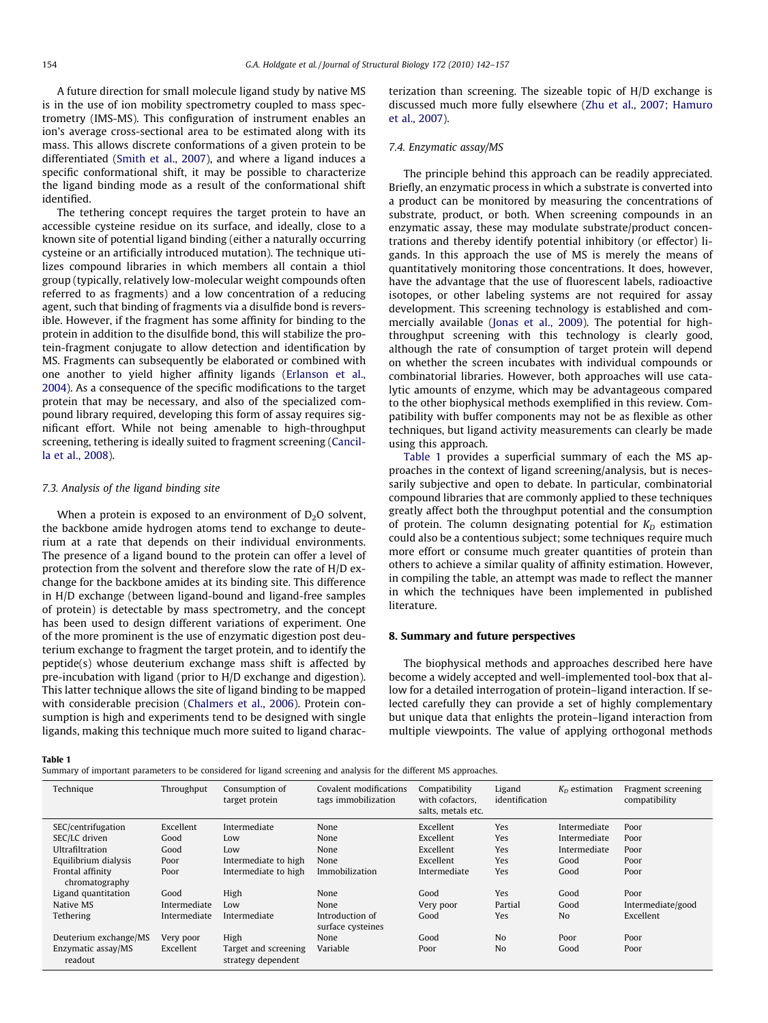A future direction for small molecule ligand study by native MS is in the use of ion mobility spectrometry coupled to mass spectrometry (IMS-MS). This configuration of instrument enables an ion's average cross-sectional area to be estimated along with its mass. This allows discrete conformations of a given protein to be differentiated ([Smith et al., 2007\)](#page-15-0), and where a ligand induces a specific conformational shift, it may be possible to characterize the ligand binding mode as a result of the conformational shift identified.

The tethering concept requires the target protein to have an accessible cysteine residue on its surface, and ideally, close to a known site of potential ligand binding (either a naturally occurring cysteine or an artificially introduced mutation). The technique utilizes compound libraries in which members all contain a thiol group (typically, relatively low-molecular weight compounds often referred to as fragments) and a low concentration of a reducing agent, such that binding of fragments via a disulfide bond is reversible. However, if the fragment has some affinity for binding to the protein in addition to the disulfide bond, this will stabilize the protein-fragment conjugate to allow detection and identification by MS. Fragments can subsequently be elaborated or combined with one another to yield higher affinity ligands [\(Erlanson et al.,](#page-14-0) [2004\)](#page-14-0). As a consequence of the specific modifications to the target protein that may be necessary, and also of the specialized compound library required, developing this form of assay requires significant effort. While not being amenable to high-throughput screening, tethering is ideally suited to fragment screening [\(Cancil](#page-13-0)[la et al., 2008](#page-13-0)).

#### 7.3. Analysis of the ligand binding site

When a protein is exposed to an environment of  $D_2O$  solvent, the backbone amide hydrogen atoms tend to exchange to deuterium at a rate that depends on their individual environments. The presence of a ligand bound to the protein can offer a level of protection from the solvent and therefore slow the rate of H/D exchange for the backbone amides at its binding site. This difference in H/D exchange (between ligand-bound and ligand-free samples of protein) is detectable by mass spectrometry, and the concept has been used to design different variations of experiment. One of the more prominent is the use of enzymatic digestion post deuterium exchange to fragment the target protein, and to identify the peptide(s) whose deuterium exchange mass shift is affected by pre-incubation with ligand (prior to H/D exchange and digestion). This latter technique allows the site of ligand binding to be mapped with considerable precision ([Chalmers et al., 2006](#page-13-0)). Protein consumption is high and experiments tend to be designed with single ligands, making this technique much more suited to ligand characterization than screening. The sizeable topic of H/D exchange is discussed much more fully elsewhere [\(Zhu et al., 2007; Hamuro](#page-15-0) [et al., 2007\)](#page-15-0).

#### 7.4. Enzymatic assay/MS

The principle behind this approach can be readily appreciated. Briefly, an enzymatic process in which a substrate is converted into a product can be monitored by measuring the concentrations of substrate, product, or both. When screening compounds in an enzymatic assay, these may modulate substrate/product concentrations and thereby identify potential inhibitory (or effector) ligands. In this approach the use of MS is merely the means of quantitatively monitoring those concentrations. It does, however, have the advantage that the use of fluorescent labels, radioactive isotopes, or other labeling systems are not required for assay development. This screening technology is established and commercially available [\(Jonas et al., 2009](#page-14-0)). The potential for highthroughput screening with this technology is clearly good, although the rate of consumption of target protein will depend on whether the screen incubates with individual compounds or combinatorial libraries. However, both approaches will use catalytic amounts of enzyme, which may be advantageous compared to the other biophysical methods exemplified in this review. Compatibility with buffer components may not be as flexible as other techniques, but ligand activity measurements can clearly be made using this approach.

Table 1 provides a superficial summary of each the MS approaches in the context of ligand screening/analysis, but is necessarily subjective and open to debate. In particular, combinatorial compound libraries that are commonly applied to these techniques greatly affect both the throughput potential and the consumption of protein. The column designating potential for  $K_D$  estimation could also be a contentious subject; some techniques require much more effort or consume much greater quantities of protein than others to achieve a similar quality of affinity estimation. However, in compiling the table, an attempt was made to reflect the manner in which the techniques have been implemented in published literature.

## 8. Summary and future perspectives

The biophysical methods and approaches described here have become a widely accepted and well-implemented tool-box that allow for a detailed interrogation of protein–ligand interaction. If selected carefully they can provide a set of highly complementary but unique data that enlights the protein–ligand interaction from multiple viewpoints. The value of applying orthogonal methods

#### Table 1

Summary of important parameters to be considered for ligand screening and analysis for the different MS approaches.

| Technique                          | Throughput   | Consumption of<br>target protein           | Covalent modifications<br>tags immobilization | Compatibility<br>with cofactors.<br>salts, metals etc. | Ligand<br>identification | $K_D$ estimation | Fragment screening<br>compatibility |
|------------------------------------|--------------|--------------------------------------------|-----------------------------------------------|--------------------------------------------------------|--------------------------|------------------|-------------------------------------|
| SEC/centrifugation                 | Excellent    | Intermediate                               | None                                          | Excellent                                              | Yes                      | Intermediate     | Poor                                |
| SEC/LC driven                      | Good         | Low                                        | None                                          | Excellent                                              | Yes                      | Intermediate     | Poor                                |
| <b>Ultrafiltration</b>             | Good         | Low                                        | None                                          | Excellent                                              | Yes                      | Intermediate     | Poor                                |
| Equilibrium dialysis               | Poor         | Intermediate to high                       | None                                          | Excellent                                              | Yes                      | Good             | Poor                                |
| Frontal affinity<br>chromatography | Poor         | Intermediate to high                       | Immobilization                                | Intermediate                                           | Yes                      | Good             | Poor                                |
| Ligand quantitation                | Good         | High                                       | None                                          | Good                                                   | Yes                      | Good             | Poor                                |
| Native MS                          | Intermediate | Low                                        | None                                          | Very poor                                              | Partial                  | Good             | Intermediate/good                   |
| Tethering                          | Intermediate | Intermediate                               | Introduction of<br>surface cysteines          | Good                                                   | Yes                      | N <sub>0</sub>   | Excellent                           |
| Deuterium exchange/MS              | Very poor    | High                                       | None                                          | Good                                                   | N <sub>0</sub>           | Poor             | Poor                                |
| Enzymatic assay/MS<br>readout      | Excellent    | Target and screening<br>strategy dependent | Variable                                      | Poor                                                   | N <sub>o</sub>           | Good             | Poor                                |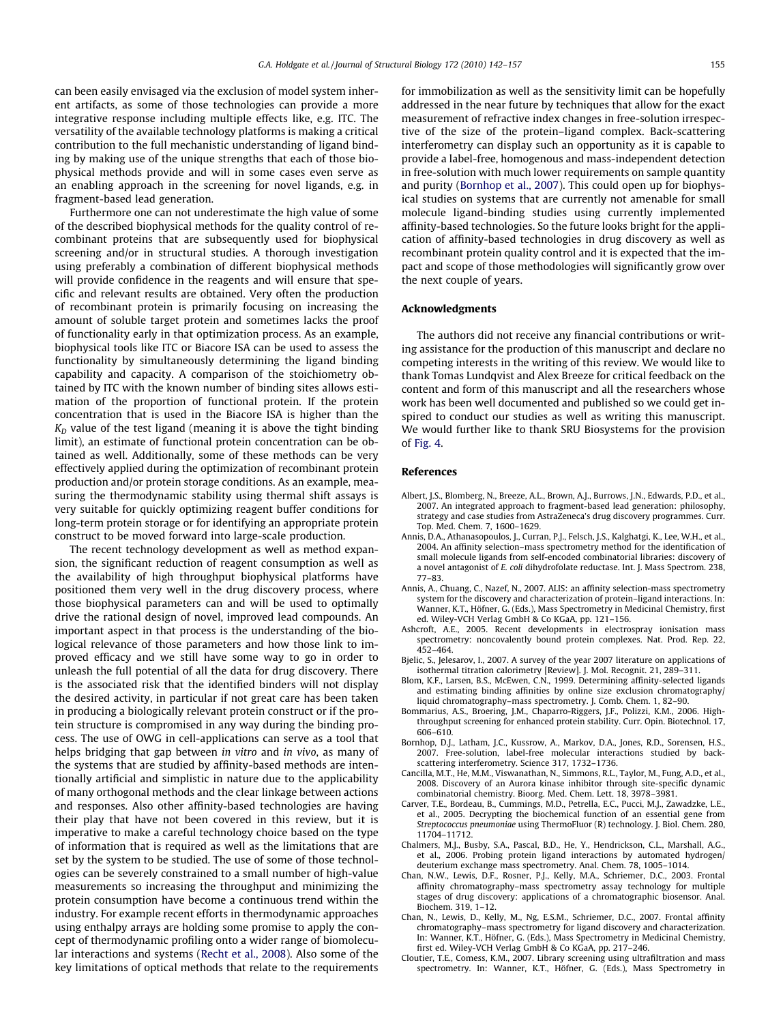<span id="page-13-0"></span>can been easily envisaged via the exclusion of model system inherent artifacts, as some of those technologies can provide a more integrative response including multiple effects like, e.g. ITC. The versatility of the available technology platforms is making a critical contribution to the full mechanistic understanding of ligand binding by making use of the unique strengths that each of those biophysical methods provide and will in some cases even serve as an enabling approach in the screening for novel ligands, e.g. in fragment-based lead generation.

Furthermore one can not underestimate the high value of some of the described biophysical methods for the quality control of recombinant proteins that are subsequently used for biophysical screening and/or in structural studies. A thorough investigation using preferably a combination of different biophysical methods will provide confidence in the reagents and will ensure that specific and relevant results are obtained. Very often the production of recombinant protein is primarily focusing on increasing the amount of soluble target protein and sometimes lacks the proof of functionality early in that optimization process. As an example, biophysical tools like ITC or Biacore ISA can be used to assess the functionality by simultaneously determining the ligand binding capability and capacity. A comparison of the stoichiometry obtained by ITC with the known number of binding sites allows estimation of the proportion of functional protein. If the protein concentration that is used in the Biacore ISA is higher than the  $K_D$  value of the test ligand (meaning it is above the tight binding limit), an estimate of functional protein concentration can be obtained as well. Additionally, some of these methods can be very effectively applied during the optimization of recombinant protein production and/or protein storage conditions. As an example, measuring the thermodynamic stability using thermal shift assays is very suitable for quickly optimizing reagent buffer conditions for long-term protein storage or for identifying an appropriate protein construct to be moved forward into large-scale production.

The recent technology development as well as method expansion, the significant reduction of reagent consumption as well as the availability of high throughput biophysical platforms have positioned them very well in the drug discovery process, where those biophysical parameters can and will be used to optimally drive the rational design of novel, improved lead compounds. An important aspect in that process is the understanding of the biological relevance of those parameters and how those link to improved efficacy and we still have some way to go in order to unleash the full potential of all the data for drug discovery. There is the associated risk that the identified binders will not display the desired activity, in particular if not great care has been taken in producing a biologically relevant protein construct or if the protein structure is compromised in any way during the binding process. The use of OWG in cell-applications can serve as a tool that helps bridging that gap between in vitro and in vivo, as many of the systems that are studied by affinity-based methods are intentionally artificial and simplistic in nature due to the applicability of many orthogonal methods and the clear linkage between actions and responses. Also other affinity-based technologies are having their play that have not been covered in this review, but it is imperative to make a careful technology choice based on the type of information that is required as well as the limitations that are set by the system to be studied. The use of some of those technologies can be severely constrained to a small number of high-value measurements so increasing the throughput and minimizing the protein consumption have become a continuous trend within the industry. For example recent efforts in thermodynamic approaches using enthalpy arrays are holding some promise to apply the concept of thermodynamic profiling onto a wider range of biomolecular interactions and systems ([Recht et al., 2008](#page-15-0)). Also some of the key limitations of optical methods that relate to the requirements for immobilization as well as the sensitivity limit can be hopefully addressed in the near future by techniques that allow for the exact measurement of refractive index changes in free-solution irrespective of the size of the protein–ligand complex. Back-scattering interferometry can display such an opportunity as it is capable to provide a label-free, homogenous and mass-independent detection in free-solution with much lower requirements on sample quantity and purity (Bornhop et al., 2007). This could open up for biophysical studies on systems that are currently not amenable for small molecule ligand-binding studies using currently implemented affinity-based technologies. So the future looks bright for the application of affinity-based technologies in drug discovery as well as recombinant protein quality control and it is expected that the impact and scope of those methodologies will significantly grow over the next couple of years.

#### Acknowledgments

The authors did not receive any financial contributions or writing assistance for the production of this manuscript and declare no competing interests in the writing of this review. We would like to thank Tomas Lundqvist and Alex Breeze for critical feedback on the content and form of this manuscript and all the researchers whose work has been well documented and published so we could get inspired to conduct our studies as well as writing this manuscript. We would further like to thank SRU Biosystems for the provision of [Fig. 4.](#page-7-0)

## References

- Albert, J.S., Blomberg, N., Breeze, A.L., Brown, A.J., Burrows, J.N., Edwards, P.D., et al., 2007. An integrated approach to fragment-based lead generation: philosophy, strategy and case studies from AstraZeneca's drug discovery programmes. Curr. Top. Med. Chem. 7, 1600–1629.
- Annis, D.A., Athanasopoulos, J., Curran, P.J., Felsch, J.S., Kalghatgi, K., Lee, W.H., et al., 2004. An affinity selection–mass spectrometry method for the identification of small molecule ligands from self-encoded combinatorial libraries: discovery of a novel antagonist of E. coli dihydrofolate reductase. Int. J. Mass Spectrom. 238, 77–83.
- Annis, A., Chuang, C., Nazef, N., 2007. ALIS: an affinity selection-mass spectrometry system for the discovery and characterization of protein–ligand interactions. In: Wanner, K.T., Höfner, G. (Eds.), Mass Spectrometry in Medicinal Chemistry, first ed. Wiley-VCH Verlag GmbH & Co KGaA, pp. 121–156.
- Ashcroft, A.E., 2005. Recent developments in electrospray ionisation mass spectrometry: noncovalently bound protein complexes. Nat. Prod. Rep. 22, 452–464.
- Bjelic, S., Jelesarov, I., 2007. A survey of the year 2007 literature on applications of isothermal titration calorimetry [Review]. J. Mol. Recognit. 21, 289–311.
- Blom, K.F., Larsen, B.S., McEwen, C.N., 1999. Determining affinity-selected ligands and estimating binding affinities by online size exclusion chromatography/ liquid chromatography–mass spectrometry. J. Comb. Chem. 1, 82–90.
- Bommarius, A.S., Broering, J.M., Chaparro-Riggers, J.F., Polizzi, K.M., 2006. Highthroughput screening for enhanced protein stability. Curr. Opin. Biotechnol. 17, 606–610.
- Bornhop, D.J., Latham, J.C., Kussrow, A., Markov, D.A., Jones, R.D., Sorensen, H.S., 2007. Free-solution, label-free molecular interactions studied by backscattering interferometry. Science 317, 1732–1736.
- Cancilla, M.T., He, M.M., Viswanathan, N., Simmons, R.L., Taylor, M., Fung, A.D., et al., 2008. Discovery of an Aurora kinase inhibitor through site-specific dynamic combinatorial chemistry. Bioorg. Med. Chem. Lett. 18, 3978–3981.
- Carver, T.E., Bordeau, B., Cummings, M.D., Petrella, E.C., Pucci, M.J., Zawadzke, L.E., et al., 2005. Decrypting the biochemical function of an essential gene from Streptococcus pneumoniae using ThermoFluor (R) technology. J. Biol. Chem. 280, 11704–11712.
- Chalmers, M.J., Busby, S.A., Pascal, B.D., He, Y., Hendrickson, C.L., Marshall, A.G., et al., 2006. Probing protein ligand interactions by automated hydrogen/ deuterium exchange mass spectrometry. Anal. Chem. 78, 1005–1014.
- Chan, N.W., Lewis, D.F., Rosner, P.J., Kelly, M.A., Schriemer, D.C., 2003. Frontal affinity chromatography–mass spectrometry assay technology for multiple stages of drug discovery: applications of a chromatographic biosensor. Anal. Biochem. 319, 1–12.
- Chan, N., Lewis, D., Kelly, M., Ng, E.S.M., Schriemer, D.C., 2007. Frontal affinity chromatography–mass spectrometry for ligand discovery and characterization. In: Wanner, K.T., Höfner, G. (Eds.), Mass Spectrometry in Medicinal Chemistry, first ed. Wiley-VCH Verlag GmbH & Co KGaA, pp. 217–246.
- Cloutier, T.E., Comess, K.M., 2007. Library screening using ultrafiltration and mass spectrometry. In: Wanner, K.T., Höfner, G. (Eds.), Mass Spectrometry in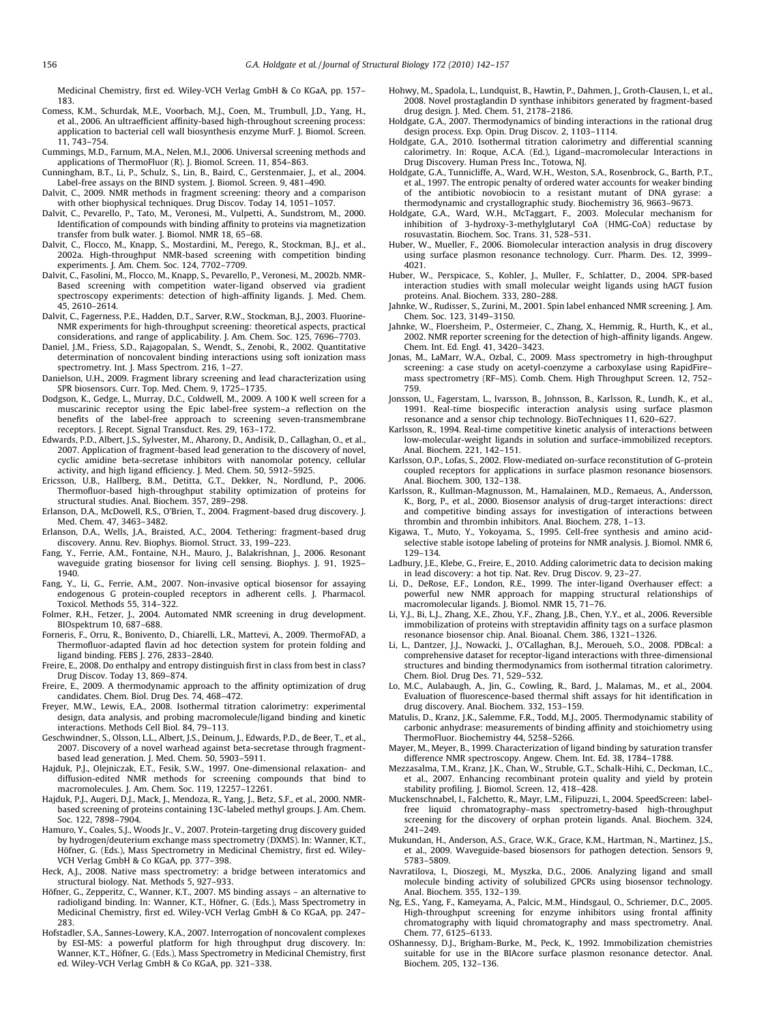<span id="page-14-0"></span>Medicinal Chemistry, first ed. Wiley-VCH Verlag GmbH & Co KGaA, pp. 157– 183.

- Comess, K.M., Schurdak, M.E., Voorbach, M.J., Coen, M., Trumbull, J.D., Yang, H., et al., 2006. An ultraefficient affinity-based high-throughout screening process: application to bacterial cell wall biosynthesis enzyme MurF. J. Biomol. Screen. 11, 743–754.
- Cummings, M.D., Farnum, M.A., Nelen, M.I., 2006. Universal screening methods and applications of ThermoFluor (R). J. Biomol. Screen. 11, 854–863.
- Cunningham, B.T., Li, P., Schulz, S., Lin, B., Baird, C., Gerstenmaier, J., et al., 2004. Label-free assays on the BIND system. J. Biomol. Screen. 9, 481–490.
- Dalvit, C., 2009. NMR methods in fragment screening: theory and a comparison with other biophysical techniques. Drug Discov. Today 14, 1051–1057.
- Dalvit, C., Pevarello, P., Tato, M., Veronesi, M., Vulpetti, A., Sundstrom, M., 2000. Identification of compounds with binding affinity to proteins via magnetization transfer from bulk water. J. Biomol. NMR 18, 65–68.
- Dalvit, C., Flocco, M., Knapp, S., Mostardini, M., Perego, R., Stockman, B.J., et al., 2002a. High-throughput NMR-based screening with competition binding experiments. J. Am. Chem. Soc. 124, 7702–7709.
- Dalvit, C., Fasolini, M., Flocco, M., Knapp, S., Pevarello, P., Veronesi, M., 2002b. NMR-Based screening with competition water-ligand observed via gradient spectroscopy experiments: detection of high-affinity ligands. J. Med. Chem. 45, 2610–2614.
- Dalvit, C., Fagerness, P.E., Hadden, D.T., Sarver, R.W., Stockman, B.J., 2003. Fluorine-NMR experiments for high-throughput screening: theoretical aspects, practical considerations, and range of applicability. J. Am. Chem. Soc. 125, 7696–7703.
- Daniel, J.M., Friess, S.D., Rajagopalan, S., Wendt, S., Zenobi, R., 2002. Quantitative determination of noncovalent binding interactions using soft ionization mass spectrometry. Int. J. Mass Spectrom. 216, 1–27.
- Danielson, U.H., 2009. Fragment library screening and lead characterization using SPR biosensors. Curr. Top. Med. Chem. 9, 1725–1735.
- Dodgson, K., Gedge, L., Murray, D.C., Coldwell, M., 2009. A 100 K well screen for a muscarinic receptor using the Epic label-free system–a reflection on the benefits of the label-free approach to screening seven-transmembrane receptors. J. Recept. Signal Transduct. Res. 29, 163–172.
- Edwards, P.D., Albert, J.S., Sylvester, M., Aharony, D., Andisik, D., Callaghan, O., et al., 2007. Application of fragment-based lead generation to the discovery of novel, cyclic amidine beta-secretase inhibitors with nanomolar potency, cellular activity, and high ligand efficiency. J. Med. Chem. 50, 5912–5925.
- Ericsson, U.B., Hallberg, B.M., Detitta, G.T., Dekker, N., Nordlund, P., 2006. Thermofluor-based high-throughput stability optimization of proteins for structural studies. Anal. Biochem. 357, 289–298.
- Erlanson, D.A., McDowell, R.S., O'Brien, T., 2004. Fragment-based drug discovery. J. Med. Chem. 47, 3463–3482.
- Erlanson, D.A., Wells, J.A., Braisted, A.C., 2004. Tethering: fragment-based drug discovery. Annu. Rev. Biophys. Biomol. Struct. 33, 199–223.
- Fang, Y., Ferrie, A.M., Fontaine, N.H., Mauro, J., Balakrishnan, J., 2006. Resonant waveguide grating biosensor for living cell sensing. Biophys. J. 91, 1925– 1940.
- Fang, Y., Li, G., Ferrie, A.M., 2007. Non-invasive optical biosensor for assaying endogenous G protein-coupled receptors in adherent cells. J. Pharmacol. Toxicol. Methods 55, 314–322.
- Folmer, R.H., Fetzer, J., 2004. Automated NMR screening in drug development. BIOspektrum 10, 687–688.
- Forneris, F., Orru, R., Bonivento, D., Chiarelli, L.R., Mattevi, A., 2009. ThermoFAD, a Thermofluor-adapted flavin ad hoc detection system for protein folding and ligand binding. FEBS J. 276, 2833–2840.
- Freire, E., 2008. Do enthalpy and entropy distinguish first in class from best in class? Drug Discov. Today 13, 869–874.
- Freire, E., 2009. A thermodynamic approach to the affinity optimization of drug candidates. Chem. Biol. Drug Des. 74, 468–472.
- Freyer, M.W., Lewis, E.A., 2008. Isothermal titration calorimetry: experimental design, data analysis, and probing macromolecule/ligand binding and kinetic interactions. Methods Cell Biol. 84, 79–113.
- Geschwindner, S., Olsson, L.L., Albert, J.S., Deinum, J., Edwards, P.D., de Beer, T., et al., 2007. Discovery of a novel warhead against beta-secretase through fragmentbased lead generation. J. Med. Chem. 50, 5903–5911.
- Hajduk, P.J., Olejniczak, E.T., Fesik, S.W., 1997. One-dimensional relaxation- and diffusion-edited NMR methods for screening compounds that bind to macromolecules. J. Am. Chem. Soc. 119, 12257–12261.
- Hajduk, P.J., Augeri, D.J., Mack, J., Mendoza, R., Yang, J., Betz, S.F., et al., 2000. NMRbased screening of proteins containing 13C-labeled methyl groups. J. Am. Chem. Soc. 122, 7898–7904.
- Hamuro, Y., Coales, S.J., Woods Jr., V., 2007. Protein-targeting drug discovery guided by hydrogen/deuterium exchange mass spectrometry (DXMS). In: Wanner, K.T., Höfner, G. (Eds.), Mass Spectrometry in Medicinal Chemistry, first ed. Wiley-VCH Verlag GmbH & Co KGaA, pp. 377–398.
- Heck, A.J., 2008. Native mass spectrometry: a bridge between interatomics and structural biology. Nat. Methods 5, 927–933.
- Höfner, G., Zepperitz, C., Wanner, K.T., 2007. MS binding assays an alternative to radioligand binding. In: Wanner, K.T., Höfner, G. (Eds.), Mass Spectrometry in Medicinal Chemistry, first ed. Wiley-VCH Verlag GmbH & Co KGaA, pp. 247– 283.
- Hofstadler, S.A., Sannes-Lowery, K.A., 2007. Interrogation of noncovalent complexes by ESI-MS: a powerful platform for high throughput drug discovery. In: Wanner, K.T., Höfner, G. (Eds.), Mass Spectrometry in Medicinal Chemistry, first ed. Wiley-VCH Verlag GmbH & Co KGaA, pp. 321–338.
- Hohwy, M., Spadola, L., Lundquist, B., Hawtin, P., Dahmen, J., Groth-Clausen, I., et al., 2008. Novel prostaglandin D synthase inhibitors generated by fragment-based drug design. J. Med. Chem. 51, 2178–2186.
- Holdgate, G.A., 2007. Thermodynamics of binding interactions in the rational drug design process. Exp. Opin. Drug Discov. 2, 1103–1114.
- Holdgate, G.A., 2010. Isothermal titration calorimetry and differential scanning calorimetry. In: Roque, A.C.A. (Ed.), Ligand–macromolecular Interactions in Drug Discovery. Human Press Inc., Totowa, NJ.
- Holdgate, G.A., Tunnicliffe, A., Ward, W.H., Weston, S.A., Rosenbrock, G., Barth, P.T., et al., 1997. The entropic penalty of ordered water accounts for weaker binding of the antibiotic novobiocin to a resistant mutant of DNA gyrase: a thermodynamic and crystallographic study. Biochemistry 36, 9663–9673.
- Holdgate, G.A., Ward, W.H., McTaggart, F., 2003. Molecular mechanism for inhibition of 3-hydroxy-3-methylglutaryl CoA (HMG-CoA) reductase by rosuvastatin. Biochem. Soc. Trans. 31, 528–531.
- Huber, W., Mueller, F., 2006. Biomolecular interaction analysis in drug discovery using surface plasmon resonance technology. Curr. Pharm. Des. 12, 3999– 4021.
- Huber, W., Perspicace, S., Kohler, J., Muller, F., Schlatter, D., 2004. SPR-based interaction studies with small molecular weight ligands using hAGT fusion proteins. Anal. Biochem. 333, 280–288.
- Jahnke, W., Rudisser, S., Zurini, M., 2001. Spin label enhanced NMR screening. J. Am. Chem. Soc. 123, 3149–3150.
- Jahnke, W., Floersheim, P., Ostermeier, C., Zhang, X., Hemmig, R., Hurth, K., et al., 2002. NMR reporter screening for the detection of high-affinity ligands. Angew. Chem. Int. Ed. Engl. 41, 3420–3423.
- Jonas, M., LaMarr, W.A., Ozbal, C., 2009. Mass spectrometry in high-throughput screening: a case study on acetyl-coenzyme a carboxylase using RapidFire– mass spectrometry (RF–MS). Comb. Chem. High Throughput Screen. 12, 752– 759.
- Jonsson, U., Fagerstam, L., Ivarsson, B., Johnsson, B., Karlsson, R., Lundh, K., et al., 1991. Real-time biospecific interaction analysis using surface plasmon resonance and a sensor chip technology. BioTechniques 11, 620–627.
- Karlsson, R., 1994. Real-time competitive kinetic analysis of interactions between low-molecular-weight ligands in solution and surface-immobilized receptors. Anal. Biochem. 221, 142–151.
- Karlsson, O.P., Lofas, S., 2002. Flow-mediated on-surface reconstitution of G-protein coupled receptors for applications in surface plasmon resonance biosensors. Anal. Biochem. 300, 132–138.
- Karlsson, R., Kullman-Magnusson, M., Hamalainen, M.D., Remaeus, A., Andersson, K., Borg, P., et al., 2000. Biosensor analysis of drug-target interactions: direct and competitive binding assays for investigation of interactions between thrombin and thrombin inhibitors. Anal. Biochem. 278, 1–13.
- Kigawa, T., Muto, Y., Yokoyama, S., 1995. Cell-free synthesis and amino acidselective stable isotope labeling of proteins for NMR analysis. J. Biomol. NMR 6, 129–134.
- Ladbury, J.E., Klebe, G., Freire, E., 2010. Adding calorimetric data to decision making in lead discovery: a hot tip. Nat. Rev. Drug Discov. 9, 23–27.
- D., DeRose, E.F., London, R.E., 1999. The inter-ligand Overhauser effect: a powerful new NMR approach for mapping structural relationships of macromolecular ligands. J. Biomol. NMR 15, 71–76.
- Li, Y.J., Bi, L.J., Zhang, X.E., Zhou, Y.F., Zhang, J.B., Chen, Y.Y., et al., 2006. Reversible immobilization of proteins with streptavidin affinity tags on a surface plasmon resonance biosensor chip. Anal. Bioanal. Chem. 386, 1321–1326.
- Li, L., Dantzer, J.J., Nowacki, J., O'Callaghan, B.J., Meroueh, S.O., 2008. PDBcal: a comprehensive dataset for receptor-ligand interactions with three-dimensional structures and binding thermodynamics from isothermal titration calorimetry. Chem. Biol. Drug Des. 71, 529–532.
- Lo, M.C., Aulabaugh, A., Jin, G., Cowling, R., Bard, J., Malamas, M., et al., 2004. Evaluation of fluorescence-based thermal shift assays for hit identification in drug discovery. Anal. Biochem. 332, 153–159.
- Matulis, D., Kranz, J.K., Salemme, F.R., Todd, M.J., 2005. Thermodynamic stability of carbonic anhydrase: measurements of binding affinity and stoichiometry using ThermoFluor. Biochemistry 44, 5258–5266.
- Mayer, M., Meyer, B., 1999. Characterization of ligand binding by saturation transfer difference NMR spectroscopy. Angew. Chem. Int. Ed. 38, 1784–1788.
- Mezzasalma, T.M., Kranz, J.K., Chan, W., Struble, G.T., Schalk-Hihi, C., Deckman, I.C., et al., 2007. Enhancing recombinant protein quality and yield by protein stability profiling. J. Biomol. Screen. 12, 418–428.
- Muckenschnabel, I., Falchetto, R., Mayr, L.M., Filipuzzi, I., 2004. SpeedScreen: label-free liquid chromatography–mass spectrometry-based high-throughput screening for the discovery of orphan protein ligands. Anal. Biochem. 324, 241–249.
- Mukundan, H., Anderson, A.S., Grace, W.K., Grace, K.M., Hartman, N., Martinez, J.S., et al., 2009. Waveguide-based biosensors for pathogen detection. Sensors 9, 5783–5809.
- Navratilova, I., Dioszegi, M., Myszka, D.G., 2006. Analyzing ligand and small molecule binding activity of solubilized GPCRs using biosensor technology. Anal. Biochem. 355, 132–139.
- Ng, E.S., Yang, F., Kameyama, A., Palcic, M.M., Hindsgaul, O., Schriemer, D.C., 2005. High-throughput screening for enzyme inhibitors using frontal affinity chromatography with liquid chromatography and mass spectrometry. Anal. Chem. 77, 6125–6133.
- OShannessy, D.J., Brigham-Burke, M., Peck, K., 1992. Immobilization chemistries suitable for use in the BIAcore surface plasmon resonance detector. Anal. Biochem. 205, 132–136.